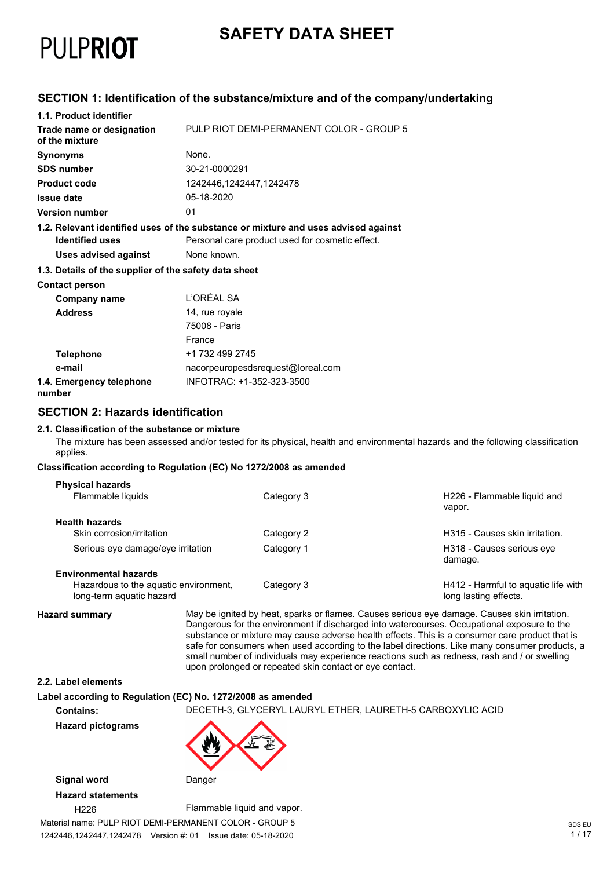

## **SAFETY DATA SHEET**

### **SECTION 1: Identification of the substance/mixture and of the company/undertaking**

| 1.1. Product identifier                               |                                                                                    |
|-------------------------------------------------------|------------------------------------------------------------------------------------|
| Trade name or designation<br>of the mixture           | PULP RIOT DEMI-PERMANENT COLOR - GROUP 5                                           |
| <b>Synonyms</b>                                       | None.                                                                              |
| <b>SDS number</b>                                     | 30-21-0000291                                                                      |
| <b>Product code</b>                                   | 1242446,1242447,1242478                                                            |
| <b>Issue date</b>                                     | 05-18-2020                                                                         |
| <b>Version number</b>                                 | 01                                                                                 |
|                                                       | 1.2. Relevant identified uses of the substance or mixture and uses advised against |
| <b>Identified uses</b>                                | Personal care product used for cosmetic effect.                                    |
| Uses advised against                                  | None known.                                                                        |
| 1.3. Details of the supplier of the safety data sheet |                                                                                    |
| <b>Contact person</b>                                 |                                                                                    |
| Company name                                          | L'ORÉAL SA                                                                         |
| <b>Address</b>                                        | 14, rue royale                                                                     |
|                                                       | 75008 - Paris                                                                      |
|                                                       | France                                                                             |
| <b>Telephone</b>                                      | +1 732 499 2745                                                                    |
| e-mail                                                | nacorpeuropesdsrequest@loreal.com                                                  |
| 1.4. Emergency telephone<br>number                    | INFOTRAC: +1-352-323-3500                                                          |

### **SECTION 2: Hazards identification**

#### **2.1. Classification of the substance or mixture**

The mixture has been assessed and/or tested for its physical, health and environmental hazards and the following classification applies.

#### **Classification according to Regulation (EC) No 1272/2008 as amended**

| <b>Physical hazards</b>                                           |            |                                                              |
|-------------------------------------------------------------------|------------|--------------------------------------------------------------|
| Flammable liquids                                                 | Category 3 | H226 - Flammable liquid and<br>vapor.                        |
| <b>Health hazards</b>                                             |            |                                                              |
| Skin corrosion/irritation                                         | Category 2 | H315 - Causes skin irritation.                               |
| Serious eye damage/eye irritation                                 | Category 1 | H318 - Causes serious eye<br>damage.                         |
| <b>Environmental hazards</b>                                      |            |                                                              |
| Hazardous to the aquatic environment,<br>long-term aquatic hazard | Category 3 | H412 - Harmful to aquatic life with<br>long lasting effects. |

**Hazard summary** May be ignited by heat, sparks or flames. Causes serious eye damage. Causes skin irritation. Dangerous for the environment if discharged into watercourses. Occupational exposure to the substance or mixture may cause adverse health effects. This is a consumer care product that is safe for consumers when used according to the label directions. Like many consumer products, a small number of individuals may experience reactions such as redness, rash and / or swelling upon prolonged or repeated skin contact or eye contact.

#### **2.2. Label elements**

#### **Label according to Regulation (EC) No. 1272/2008 as amended**

**Contains:** DECETH-3, GLYCERYL LAURYL ETHER, LAURETH-5 CARBOXYLIC ACID **Hazard pictograms Signal word** Danger

**Hazard statements**

H226 Flammable liquid and vapor.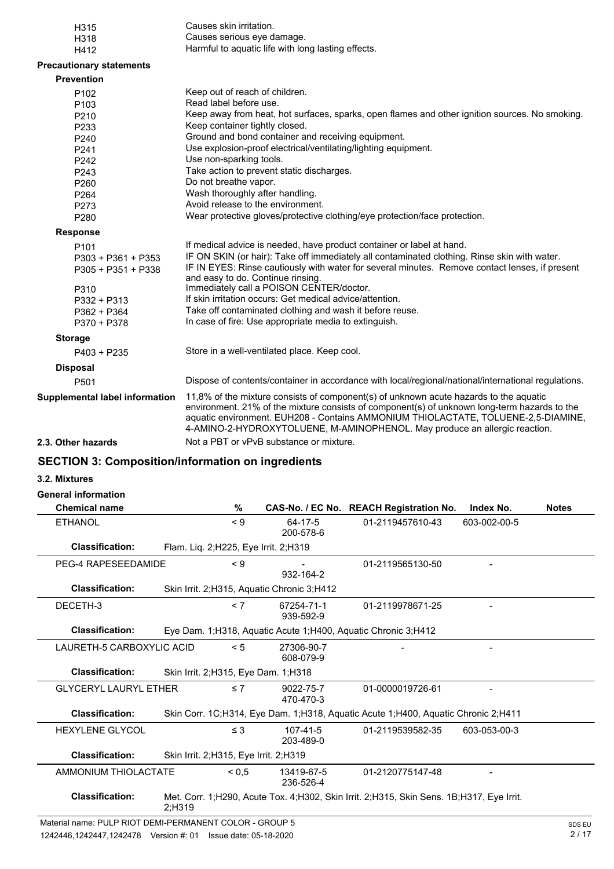| H315                            | Causes skin irritation.                                                                                                                                                                                                                                                                                                                                  |
|---------------------------------|----------------------------------------------------------------------------------------------------------------------------------------------------------------------------------------------------------------------------------------------------------------------------------------------------------------------------------------------------------|
| H318                            | Causes serious eye damage.                                                                                                                                                                                                                                                                                                                               |
| H412                            | Harmful to aquatic life with long lasting effects.                                                                                                                                                                                                                                                                                                       |
| <b>Precautionary statements</b> |                                                                                                                                                                                                                                                                                                                                                          |
| <b>Prevention</b>               |                                                                                                                                                                                                                                                                                                                                                          |
| P <sub>102</sub>                | Keep out of reach of children.                                                                                                                                                                                                                                                                                                                           |
| P <sub>103</sub>                | Read label before use.                                                                                                                                                                                                                                                                                                                                   |
| P210                            | Keep away from heat, hot surfaces, sparks, open flames and other ignition sources. No smoking.                                                                                                                                                                                                                                                           |
| P <sub>233</sub>                | Keep container tightly closed.                                                                                                                                                                                                                                                                                                                           |
| P240                            | Ground and bond container and receiving equipment.                                                                                                                                                                                                                                                                                                       |
| P <sub>241</sub>                | Use explosion-proof electrical/ventilating/lighting equipment.                                                                                                                                                                                                                                                                                           |
| P242                            | Use non-sparking tools.                                                                                                                                                                                                                                                                                                                                  |
| P243                            | Take action to prevent static discharges.                                                                                                                                                                                                                                                                                                                |
| P260                            | Do not breathe vapor.                                                                                                                                                                                                                                                                                                                                    |
| P <sub>264</sub>                | Wash thoroughly after handling.                                                                                                                                                                                                                                                                                                                          |
| P273                            | Avoid release to the environment.                                                                                                                                                                                                                                                                                                                        |
| P280                            | Wear protective gloves/protective clothing/eye protection/face protection.                                                                                                                                                                                                                                                                               |
| <b>Response</b>                 |                                                                                                                                                                                                                                                                                                                                                          |
| P <sub>101</sub>                | If medical advice is needed, have product container or label at hand.                                                                                                                                                                                                                                                                                    |
| P303 + P361 + P353              | IF ON SKIN (or hair): Take off immediately all contaminated clothing. Rinse skin with water.                                                                                                                                                                                                                                                             |
| P305 + P351 + P338              | IF IN EYES: Rinse cautiously with water for several minutes. Remove contact lenses, if present                                                                                                                                                                                                                                                           |
|                                 | and easy to do. Continue rinsing.                                                                                                                                                                                                                                                                                                                        |
| P310                            | Immediately call a POISON CENTER/doctor.                                                                                                                                                                                                                                                                                                                 |
| P332 + P313                     | If skin irritation occurs: Get medical advice/attention.                                                                                                                                                                                                                                                                                                 |
| P362 + P364                     | Take off contaminated clothing and wash it before reuse.                                                                                                                                                                                                                                                                                                 |
| P370 + P378                     | In case of fire: Use appropriate media to extinguish.                                                                                                                                                                                                                                                                                                    |
| <b>Storage</b>                  |                                                                                                                                                                                                                                                                                                                                                          |
| $P403 + P235$                   | Store in a well-ventilated place. Keep cool.                                                                                                                                                                                                                                                                                                             |
| <b>Disposal</b>                 |                                                                                                                                                                                                                                                                                                                                                          |
| P501                            | Dispose of contents/container in accordance with local/regional/national/international regulations.                                                                                                                                                                                                                                                      |
| Supplemental label information  | 11,8% of the mixture consists of component(s) of unknown acute hazards to the aquatic<br>environment. 21% of the mixture consists of component(s) of unknown long-term hazards to the<br>aquatic environment. EUH208 - Contains AMMONIUM THIOLACTATE, TOLUENE-2,5-DIAMINE,<br>4-AMINO-2-HYDROXYTOLUENE, M-AMINOPHENOL. May produce an allergic reaction. |
| 2.3. Other hazards              | Not a PBT or vPvB substance or mixture.                                                                                                                                                                                                                                                                                                                  |
|                                 |                                                                                                                                                                                                                                                                                                                                                          |

### **SECTION 3: Composition/information on ingredients**

#### **3.2. Mixtures**

### **General information**

| <b>Chemical name</b>         | %                                            |                             | CAS-No. / EC No. REACH Registration No.                                                  | Index No.    | <b>Notes</b> |
|------------------------------|----------------------------------------------|-----------------------------|------------------------------------------------------------------------------------------|--------------|--------------|
| ETHANOL                      | $\leq 9$                                     | 64-17-5<br>200-578-6        | 01-2119457610-43                                                                         | 603-002-00-5 |              |
| <b>Classification:</b>       | Flam. Liq. 2; H225, Eye Irrit. 2; H319       |                             |                                                                                          |              |              |
| PEG-4 RAPESEEDAMIDE          | $\leq 9$                                     | 932-164-2                   | 01-2119565130-50                                                                         |              |              |
| <b>Classification:</b>       | Skin Irrit. 2; H315, Aquatic Chronic 3; H412 |                             |                                                                                          |              |              |
| DECETH-3                     | < 7                                          | 67254-71-1<br>939-592-9     | 01-2119978671-25                                                                         |              |              |
| <b>Classification:</b>       |                                              |                             | Eye Dam. 1;H318, Aquatic Acute 1;H400, Aquatic Chronic 3;H412                            |              |              |
| LAURETH-5 CARBOXYLIC ACID    | < 5                                          | 27306-90-7<br>608-079-9     |                                                                                          |              |              |
| <b>Classification:</b>       | Skin Irrit. 2; H315, Eye Dam. 1; H318        |                             |                                                                                          |              |              |
| <b>GLYCERYL LAURYL ETHER</b> | $\leq 7$                                     | 9022-75-7<br>470-470-3      | 01-0000019726-61                                                                         |              |              |
| <b>Classification:</b>       |                                              |                             | Skin Corr. 1C;H314, Eye Dam. 1;H318, Aquatic Acute 1;H400, Aquatic Chronic 2;H411        |              |              |
| <b>HEXYLENE GLYCOL</b>       | $\leq$ 3                                     | $107 - 41 - 5$<br>203-489-0 | 01-2119539582-35                                                                         | 603-053-00-3 |              |
| <b>Classification:</b>       | Skin Irrit. 2; H315, Eye Irrit. 2; H319      |                             |                                                                                          |              |              |
| AMMONIUM THIOLACTATE         | ${}^{5}$ < 0,5                               | 13419-67-5<br>236-526-4     | 01-2120775147-48                                                                         |              |              |
| <b>Classification:</b>       | $2:$ H319                                    |                             | Met. Corr. 1;H290, Acute Tox. 4;H302, Skin Irrit. 2;H315, Skin Sens. 1B;H317, Eye Irrit. |              |              |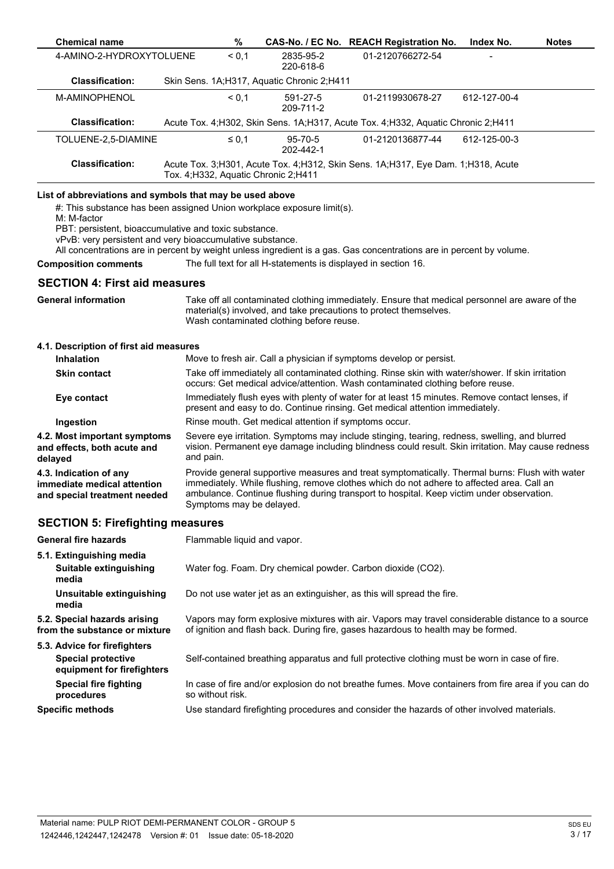| <b>Chemical name</b>                                                                                                                                                                                                                                                    |           | $\%$                        |                                                                | CAS-No. / EC No. REACH Registration No.                                                                                                                                                                                                                                                  | Index No.    | <b>Notes</b> |
|-------------------------------------------------------------------------------------------------------------------------------------------------------------------------------------------------------------------------------------------------------------------------|-----------|-----------------------------|----------------------------------------------------------------|------------------------------------------------------------------------------------------------------------------------------------------------------------------------------------------------------------------------------------------------------------------------------------------|--------------|--------------|
| 4-AMINO-2-HYDROXYTOLUENE                                                                                                                                                                                                                                                |           | < 0,1                       | 2835-95-2<br>220-618-6                                         | 01-2120766272-54                                                                                                                                                                                                                                                                         |              |              |
| <b>Classification:</b>                                                                                                                                                                                                                                                  |           |                             | Skin Sens. 1A;H317, Aquatic Chronic 2;H411                     |                                                                                                                                                                                                                                                                                          |              |              |
| M-AMINOPHENOL                                                                                                                                                                                                                                                           |           | ${}_{0,1}$                  | 591-27-5<br>209-711-2                                          | 01-2119930678-27                                                                                                                                                                                                                                                                         | 612-127-00-4 |              |
| <b>Classification:</b>                                                                                                                                                                                                                                                  |           |                             |                                                                | Acute Tox. 4; H302, Skin Sens. 1A; H317, Acute Tox. 4; H332, Aquatic Chronic 2; H411                                                                                                                                                                                                     |              |              |
| TOLUENE-2,5-DIAMINE                                                                                                                                                                                                                                                     |           | $\leq 0,1$                  | 95-70-5<br>202-442-1                                           | 01-2120136877-44                                                                                                                                                                                                                                                                         | 612-125-00-3 |              |
| <b>Classification:</b>                                                                                                                                                                                                                                                  |           |                             | Tox. 4; H332, Aquatic Chronic 2; H411                          | Acute Tox. 3;H301, Acute Tox. 4;H312, Skin Sens. 1A;H317, Eye Dam. 1;H318, Acute                                                                                                                                                                                                         |              |              |
| List of abbreviations and symbols that may be used above<br>#: This substance has been assigned Union workplace exposure limit(s).<br>M: M-factor<br>PBT: persistent, bioaccumulative and toxic substance.<br>vPvB: very persistent and very bioaccumulative substance. |           |                             |                                                                | All concentrations are in percent by weight unless ingredient is a gas. Gas concentrations are in percent by volume.                                                                                                                                                                     |              |              |
| <b>Composition comments</b>                                                                                                                                                                                                                                             |           |                             | The full text for all H-statements is displayed in section 16. |                                                                                                                                                                                                                                                                                          |              |              |
| <b>SECTION 4: First aid measures</b>                                                                                                                                                                                                                                    |           |                             |                                                                |                                                                                                                                                                                                                                                                                          |              |              |
| <b>General information</b>                                                                                                                                                                                                                                              |           |                             | Wash contaminated clothing before reuse.                       | Take off all contaminated clothing immediately. Ensure that medical personnel are aware of the<br>material(s) involved, and take precautions to protect themselves.                                                                                                                      |              |              |
| 4.1. Description of first aid measures                                                                                                                                                                                                                                  |           |                             |                                                                |                                                                                                                                                                                                                                                                                          |              |              |
| <b>Inhalation</b>                                                                                                                                                                                                                                                       |           |                             |                                                                | Move to fresh air. Call a physician if symptoms develop or persist.                                                                                                                                                                                                                      |              |              |
| <b>Skin contact</b>                                                                                                                                                                                                                                                     |           |                             |                                                                | Take off immediately all contaminated clothing. Rinse skin with water/shower. If skin irritation<br>occurs: Get medical advice/attention. Wash contaminated clothing before reuse.                                                                                                       |              |              |
| Eye contact                                                                                                                                                                                                                                                             |           |                             |                                                                | Immediately flush eyes with plenty of water for at least 15 minutes. Remove contact lenses, if<br>present and easy to do. Continue rinsing. Get medical attention immediately.                                                                                                           |              |              |
| Ingestion                                                                                                                                                                                                                                                               |           |                             | Rinse mouth. Get medical attention if symptoms occur.          |                                                                                                                                                                                                                                                                                          |              |              |
| 4.2. Most important symptoms<br>and effects, both acute and<br>delayed                                                                                                                                                                                                  | and pain. |                             |                                                                | Severe eye irritation. Symptoms may include stinging, tearing, redness, swelling, and blurred<br>vision. Permanent eye damage including blindness could result. Skin irritation. May cause redness                                                                                       |              |              |
| 4.3. Indication of any<br>immediate medical attention<br>and special treatment needed                                                                                                                                                                                   |           | Symptoms may be delayed.    |                                                                | Provide general supportive measures and treat symptomatically. Thermal burns: Flush with water<br>immediately. While flushing, remove clothes which do not adhere to affected area. Call an<br>ambulance. Continue flushing during transport to hospital. Keep victim under observation. |              |              |
| <b>SECTION 5: Firefighting measures</b>                                                                                                                                                                                                                                 |           |                             |                                                                |                                                                                                                                                                                                                                                                                          |              |              |
| <b>General fire hazards</b>                                                                                                                                                                                                                                             |           | Flammable liquid and vapor. |                                                                |                                                                                                                                                                                                                                                                                          |              |              |
| 5.1. Extinguishing media<br>Suitable extinguishing<br>media                                                                                                                                                                                                             |           |                             |                                                                | Water fog. Foam. Dry chemical powder. Carbon dioxide (CO2).                                                                                                                                                                                                                              |              |              |
| Unsuitable extinguishing<br>media                                                                                                                                                                                                                                       |           |                             |                                                                | Do not use water jet as an extinguisher, as this will spread the fire.                                                                                                                                                                                                                   |              |              |
| 5.2. Special hazards arising<br>from the substance or mixture                                                                                                                                                                                                           |           |                             |                                                                | Vapors may form explosive mixtures with air. Vapors may travel considerable distance to a source<br>of ignition and flash back. During fire, gases hazardous to health may be formed.                                                                                                    |              |              |
| 5.3. Advice for firefighters                                                                                                                                                                                                                                            |           |                             |                                                                |                                                                                                                                                                                                                                                                                          |              |              |
| <b>Special protective</b><br>equipment for firefighters                                                                                                                                                                                                                 |           |                             |                                                                | Self-contained breathing apparatus and full protective clothing must be worn in case of fire.                                                                                                                                                                                            |              |              |
| <b>Special fire fighting</b><br>procedures                                                                                                                                                                                                                              |           | so without risk.            |                                                                | In case of fire and/or explosion do not breathe fumes. Move containers from fire area if you can do                                                                                                                                                                                      |              |              |
| <b>Specific methods</b>                                                                                                                                                                                                                                                 |           |                             |                                                                | Use standard firefighting procedures and consider the hazards of other involved materials.                                                                                                                                                                                               |              |              |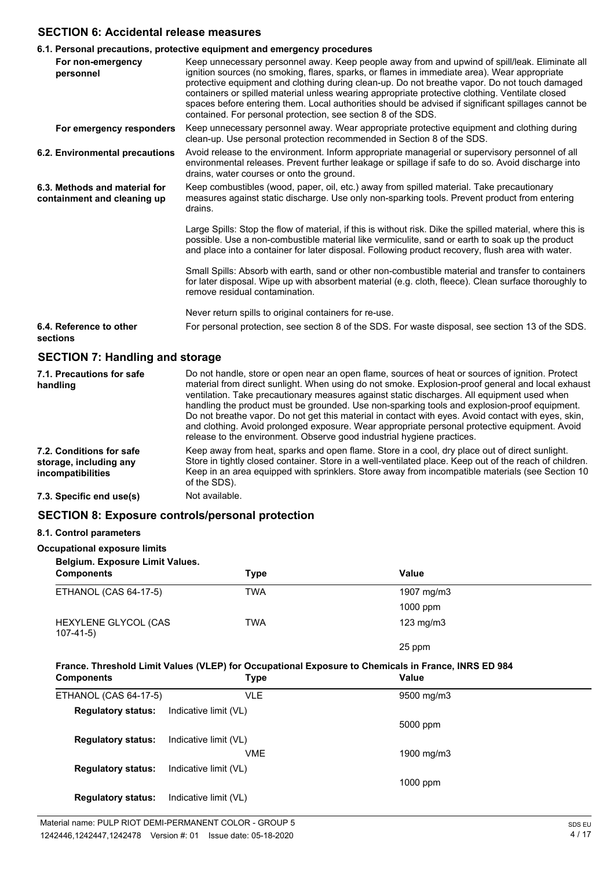### **SECTION 6: Accidental release measures**

|                                                              | 6.1. Personal precautions, protective equipment and emergency procedures                                                                                                                                                                                                                                                                                                                                                                                                                                                                                                   |
|--------------------------------------------------------------|----------------------------------------------------------------------------------------------------------------------------------------------------------------------------------------------------------------------------------------------------------------------------------------------------------------------------------------------------------------------------------------------------------------------------------------------------------------------------------------------------------------------------------------------------------------------------|
| For non-emergency<br>personnel                               | Keep unnecessary personnel away. Keep people away from and upwind of spill/leak. Eliminate all<br>ignition sources (no smoking, flares, sparks, or flames in immediate area). Wear appropriate<br>protective equipment and clothing during clean-up. Do not breathe vapor. Do not touch damaged<br>containers or spilled material unless wearing appropriate protective clothing. Ventilate closed<br>spaces before entering them. Local authorities should be advised if significant spillages cannot be<br>contained. For personal protection, see section 8 of the SDS. |
| For emergency responders                                     | Keep unnecessary personnel away. Wear appropriate protective equipment and clothing during<br>clean-up. Use personal protection recommended in Section 8 of the SDS.                                                                                                                                                                                                                                                                                                                                                                                                       |
| 6.2. Environmental precautions                               | Avoid release to the environment. Inform appropriate managerial or supervisory personnel of all<br>environmental releases. Prevent further leakage or spillage if safe to do so. Avoid discharge into<br>drains, water courses or onto the ground.                                                                                                                                                                                                                                                                                                                         |
| 6.3. Methods and material for<br>containment and cleaning up | Keep combustibles (wood, paper, oil, etc.) away from spilled material. Take precautionary<br>measures against static discharge. Use only non-sparking tools. Prevent product from entering<br>drains.                                                                                                                                                                                                                                                                                                                                                                      |
|                                                              | Large Spills: Stop the flow of material, if this is without risk. Dike the spilled material, where this is<br>possible. Use a non-combustible material like vermiculite, sand or earth to soak up the product<br>and place into a container for later disposal. Following product recovery, flush area with water.                                                                                                                                                                                                                                                         |
|                                                              | Small Spills: Absorb with earth, sand or other non-combustible material and transfer to containers<br>for later disposal. Wipe up with absorbent material (e.g. cloth, fleece). Clean surface thoroughly to<br>remove residual contamination.                                                                                                                                                                                                                                                                                                                              |
|                                                              | Never return spills to original containers for re-use.                                                                                                                                                                                                                                                                                                                                                                                                                                                                                                                     |
| 6.4. Reference to other<br>sections                          | For personal protection, see section 8 of the SDS. For waste disposal, see section 13 of the SDS.                                                                                                                                                                                                                                                                                                                                                                                                                                                                          |
| <b>SECTION 7: Handling and storage</b>                       |                                                                                                                                                                                                                                                                                                                                                                                                                                                                                                                                                                            |
| 7.1. Precautions for safe<br>handling                        | Do not handle, store or open near an open flame, sources of heat or sources of ignition. Protect<br>material from direct sunlight. When using do not smoke. Explosion-proof general and local exhaust                                                                                                                                                                                                                                                                                                                                                                      |

| handling                                                                       | material from direct sunlight. When using do not smoke. Explosion-proof general and local exhaust<br>ventilation. Take precautionary measures against static discharges. All equipment used when<br>handling the product must be grounded. Use non-sparking tools and explosion-proof equipment.<br>Do not breathe vapor. Do not get this material in contact with eyes. Avoid contact with eyes, skin,<br>and clothing. Avoid prolonged exposure. Wear appropriate personal protective equipment. Avoid<br>release to the environment. Observe good industrial hygiene practices. |
|--------------------------------------------------------------------------------|------------------------------------------------------------------------------------------------------------------------------------------------------------------------------------------------------------------------------------------------------------------------------------------------------------------------------------------------------------------------------------------------------------------------------------------------------------------------------------------------------------------------------------------------------------------------------------|
| 7.2. Conditions for safe<br>storage, including any<br><i>incompatibilities</i> | Keep away from heat, sparks and open flame. Store in a cool, dry place out of direct sunlight.<br>Store in tightly closed container. Store in a well-ventilated place. Keep out of the reach of children.<br>Keep in an area equipped with sprinklers. Store away from incompatible materials (see Section 10<br>of the SDS).                                                                                                                                                                                                                                                      |
|                                                                                |                                                                                                                                                                                                                                                                                                                                                                                                                                                                                                                                                                                    |

# **7.3. Specific end use(s)** Not available.

### **SECTION 8: Exposure controls/personal protection**

### **8.1. Control parameters**

### **Occupational exposure limits**

| Belgium. Exposure Limit Values.<br><b>Components</b> | Type | Value          |  |
|------------------------------------------------------|------|----------------|--|
| ETHANOL (CAS 64-17-5)                                | TWA  | 1907 mg/m3     |  |
|                                                      |      | $1000$ ppm     |  |
| HEXYLENE GLYCOL (CAS<br>$107 - 41 - 5$               | TWA  | $123$ mg/m $3$ |  |
|                                                      |      | 25 ppm         |  |

## **France. Threshold Limit Values (VLEP) for Occupational Exposure to Chemicals in France, INRS ED 984**

| <b>Components</b>         | Type                  | Value      |  |
|---------------------------|-----------------------|------------|--|
| ETHANOL (CAS 64-17-5)     | <b>VLE</b>            | 9500 mg/m3 |  |
| <b>Regulatory status:</b> | Indicative limit (VL) |            |  |
|                           |                       | 5000 ppm   |  |
| <b>Regulatory status:</b> | Indicative limit (VL) |            |  |
|                           | <b>VME</b>            | 1900 mg/m3 |  |
| <b>Regulatory status:</b> | Indicative limit (VL) |            |  |
|                           |                       | $1000$ ppm |  |
| <b>Regulatory status:</b> | Indicative limit (VL) |            |  |
|                           |                       |            |  |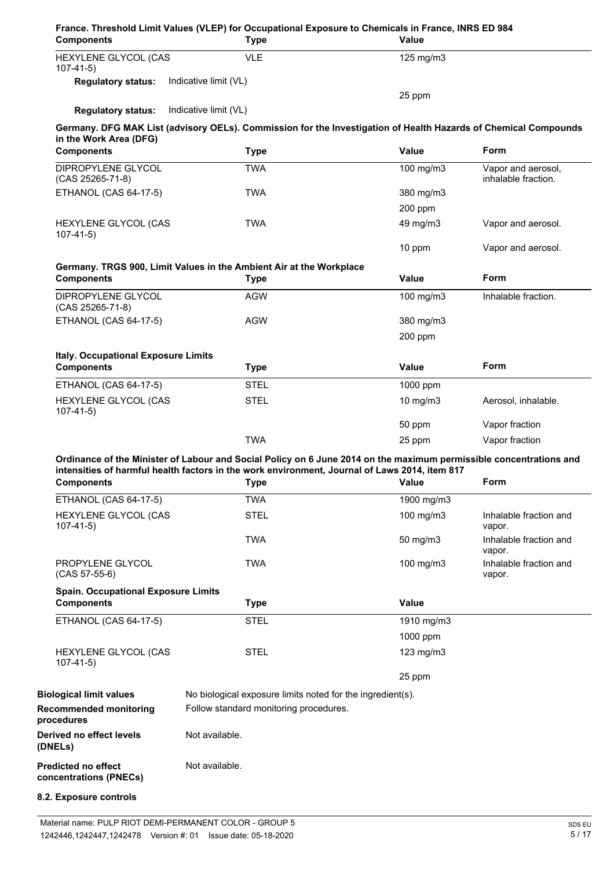| <b>Components</b>                                               | <b>Type</b>                                                                                                                                                                                                         | Value          |                                           |
|-----------------------------------------------------------------|---------------------------------------------------------------------------------------------------------------------------------------------------------------------------------------------------------------------|----------------|-------------------------------------------|
| HEXYLENE GLYCOL (CAS<br>$107-41-5)$                             | <b>VLE</b>                                                                                                                                                                                                          | 125 mg/m3      |                                           |
| <b>Regulatory status:</b>                                       | Indicative limit (VL)                                                                                                                                                                                               |                |                                           |
|                                                                 |                                                                                                                                                                                                                     | 25 ppm         |                                           |
| <b>Regulatory status:</b>                                       | Indicative limit (VL)                                                                                                                                                                                               |                |                                           |
| in the Work Area (DFG)                                          | Germany. DFG MAK List (advisory OELs). Commission for the Investigation of Health Hazards of Chemical Compounds                                                                                                     |                |                                           |
| <b>Components</b>                                               | <b>Type</b>                                                                                                                                                                                                         | <b>Value</b>   | Form                                      |
| DIPROPYLENE GLYCOL<br>(CAS 25265-71-8)                          | <b>TWA</b>                                                                                                                                                                                                          | 100 mg/m3      | Vapor and aerosol,<br>inhalable fraction. |
| <b>ETHANOL (CAS 64-17-5)</b>                                    | TWA                                                                                                                                                                                                                 | 380 mg/m3      |                                           |
|                                                                 |                                                                                                                                                                                                                     | 200 ppm        |                                           |
| HEXYLENE GLYCOL (CAS<br>$107 - 41 - 5$                          | <b>TWA</b>                                                                                                                                                                                                          | 49 mg/m3       | Vapor and aerosol.                        |
|                                                                 |                                                                                                                                                                                                                     | 10 ppm         | Vapor and aerosol.                        |
| <b>Components</b>                                               | Germany. TRGS 900, Limit Values in the Ambient Air at the Workplace<br><b>Type</b>                                                                                                                                  | Value          | Form                                      |
| DIPROPYLENE GLYCOL                                              | <b>AGW</b>                                                                                                                                                                                                          | 100 mg/m3      | Inhalable fraction.                       |
| (CAS 25265-71-8)                                                |                                                                                                                                                                                                                     |                |                                           |
| <b>ETHANOL (CAS 64-17-5)</b>                                    | <b>AGW</b>                                                                                                                                                                                                          | 380 mg/m3      |                                           |
|                                                                 |                                                                                                                                                                                                                     | 200 ppm        |                                           |
| <b>Italy. Occupational Exposure Limits</b><br><b>Components</b> | <b>Type</b>                                                                                                                                                                                                         | Value          | Form                                      |
| ETHANOL (CAS 64-17-5)                                           | <b>STEL</b>                                                                                                                                                                                                         | 1000 ppm       |                                           |
| HEXYLENE GLYCOL (CAS<br>$107-41-5)$                             | <b>STEL</b>                                                                                                                                                                                                         | $10$ mg/m $3$  | Aerosol, inhalable.                       |
|                                                                 |                                                                                                                                                                                                                     |                |                                           |
|                                                                 |                                                                                                                                                                                                                     | 50 ppm         | Vapor fraction                            |
|                                                                 | <b>TWA</b>                                                                                                                                                                                                          | 25 ppm         | Vapor fraction                            |
|                                                                 | Ordinance of the Minister of Labour and Social Policy on 6 June 2014 on the maximum permissible concentrations and<br>intensities of harmful health factors in the work environment, Journal of Laws 2014, item 817 |                |                                           |
| <b>Components</b>                                               | <b>Type</b>                                                                                                                                                                                                         | <b>Value</b>   | Form                                      |
| <b>ETHANOL (CAS 64-17-5)</b>                                    | <b>TWA</b>                                                                                                                                                                                                          | 1900 mg/m3     |                                           |
| $107 - 41 - 5$                                                  | <b>STEL</b>                                                                                                                                                                                                         | 100 mg/m3      | Inhalable fraction and<br>vapor.          |
| HEXYLENE GLYCOL (CAS                                            | TWA                                                                                                                                                                                                                 | 50 mg/m3       | Inhalable fraction and<br>vapor.          |
| PROPYLENE GLYCOL<br>$(CAS 57-55-6)$                             | <b>TWA</b>                                                                                                                                                                                                          | 100 mg/m3      | Inhalable fraction and<br>vapor.          |
| <b>Spain. Occupational Exposure Limits</b><br><b>Components</b> | <b>Type</b>                                                                                                                                                                                                         | <b>Value</b>   |                                           |
| <b>ETHANOL (CAS 64-17-5)</b>                                    | <b>STEL</b>                                                                                                                                                                                                         | 1910 mg/m3     |                                           |
|                                                                 |                                                                                                                                                                                                                     | 1000 ppm       |                                           |
| HEXYLENE GLYCOL (CAS                                            | <b>STEL</b>                                                                                                                                                                                                         | $123$ mg/m $3$ |                                           |
| $107 - 41 - 5$                                                  |                                                                                                                                                                                                                     | 25 ppm         |                                           |
|                                                                 |                                                                                                                                                                                                                     |                |                                           |
| <b>Biological limit values</b><br><b>Recommended monitoring</b> | No biological exposure limits noted for the ingredient(s).<br>Follow standard monitoring procedures.                                                                                                                |                |                                           |
| procedures<br>Derived no effect levels<br>(DNELs)               | Not available.                                                                                                                                                                                                      |                |                                           |
| <b>Predicted no effect</b><br>concentrations (PNECs)            | Not available.                                                                                                                                                                                                      |                |                                           |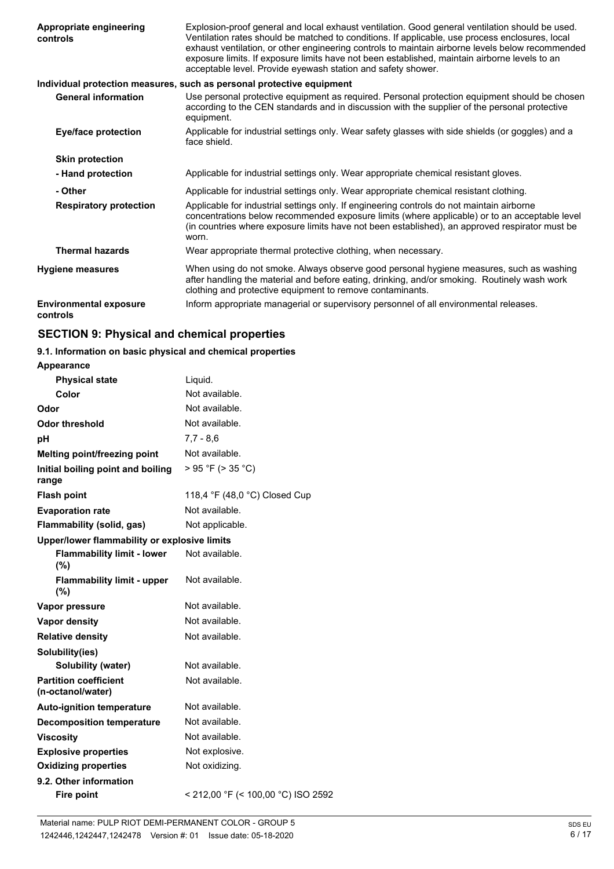| Appropriate engineering<br>controls       | Explosion-proof general and local exhaust ventilation. Good general ventilation should be used.<br>Ventilation rates should be matched to conditions. If applicable, use process enclosures, local<br>exhaust ventilation, or other engineering controls to maintain airborne levels below recommended<br>exposure limits. If exposure limits have not been established, maintain airborne levels to an<br>acceptable level. Provide eyewash station and safety shower. |
|-------------------------------------------|-------------------------------------------------------------------------------------------------------------------------------------------------------------------------------------------------------------------------------------------------------------------------------------------------------------------------------------------------------------------------------------------------------------------------------------------------------------------------|
|                                           | Individual protection measures, such as personal protective equipment                                                                                                                                                                                                                                                                                                                                                                                                   |
| <b>General information</b>                | Use personal protective equipment as required. Personal protection equipment should be chosen<br>according to the CEN standards and in discussion with the supplier of the personal protective<br>equipment.                                                                                                                                                                                                                                                            |
| <b>Eye/face protection</b>                | Applicable for industrial settings only. Wear safety glasses with side shields (or goggles) and a<br>face shield.                                                                                                                                                                                                                                                                                                                                                       |
| <b>Skin protection</b>                    |                                                                                                                                                                                                                                                                                                                                                                                                                                                                         |
| - Hand protection                         | Applicable for industrial settings only. Wear appropriate chemical resistant gloves.                                                                                                                                                                                                                                                                                                                                                                                    |
| - Other                                   | Applicable for industrial settings only. Wear appropriate chemical resistant clothing.                                                                                                                                                                                                                                                                                                                                                                                  |
| <b>Respiratory protection</b>             | Applicable for industrial settings only. If engineering controls do not maintain airborne<br>concentrations below recommended exposure limits (where applicable) or to an acceptable level<br>(in countries where exposure limits have not been established), an approved respirator must be<br>worn.                                                                                                                                                                   |
| <b>Thermal hazards</b>                    | Wear appropriate thermal protective clothing, when necessary.                                                                                                                                                                                                                                                                                                                                                                                                           |
| <b>Hygiene measures</b>                   | When using do not smoke. Always observe good personal hygiene measures, such as washing<br>after handling the material and before eating, drinking, and/or smoking. Routinely wash work<br>clothing and protective equipment to remove contaminants.                                                                                                                                                                                                                    |
| <b>Environmental exposure</b><br>controls | Inform appropriate managerial or supervisory personnel of all environmental releases.                                                                                                                                                                                                                                                                                                                                                                                   |

### **SECTION 9: Physical and chemical properties**

### **9.1. Information on basic physical and chemical properties**

| <b>Appearance</b>                                 |                                    |
|---------------------------------------------------|------------------------------------|
| <b>Physical state</b>                             | Liquid.                            |
| Color                                             | Not available.                     |
| Odor                                              | Not available.                     |
| Odor threshold                                    | Not available.                     |
| рH                                                | $7,7 - 8,6$                        |
| <b>Melting point/freezing point</b>               | Not available.                     |
| Initial boiling point and boiling<br>range        | > 95 °F (> 35 °C)                  |
| <b>Flash point</b>                                | 118,4 °F (48,0 °C) Closed Cup      |
| <b>Evaporation rate</b>                           | Not available.                     |
| Flammability (solid, gas)                         | Not applicable.                    |
| Upper/lower flammability or explosive limits      |                                    |
| <b>Flammability limit - lower</b><br>(%)          | Not available.                     |
| <b>Flammability limit - upper</b><br>(%)          | Not available.                     |
| Vapor pressure                                    | Not available.                     |
| <b>Vapor density</b>                              | Not available.                     |
| <b>Relative density</b>                           | Not available.                     |
| Solubility(ies)                                   |                                    |
| <b>Solubility (water)</b>                         | Not available.                     |
| <b>Partition coefficient</b><br>(n-octanol/water) | Not available.                     |
| <b>Auto-ignition temperature</b>                  | Not available.                     |
| <b>Decomposition temperature</b>                  | Not available.                     |
| <b>Viscosity</b>                                  | Not available.                     |
| <b>Explosive properties</b>                       | Not explosive.                     |
| <b>Oxidizing properties</b>                       | Not oxidizing.                     |
| 9.2. Other information                            |                                    |
| <b>Fire point</b>                                 | < 212,00 °F (< 100,00 °C) ISO 2592 |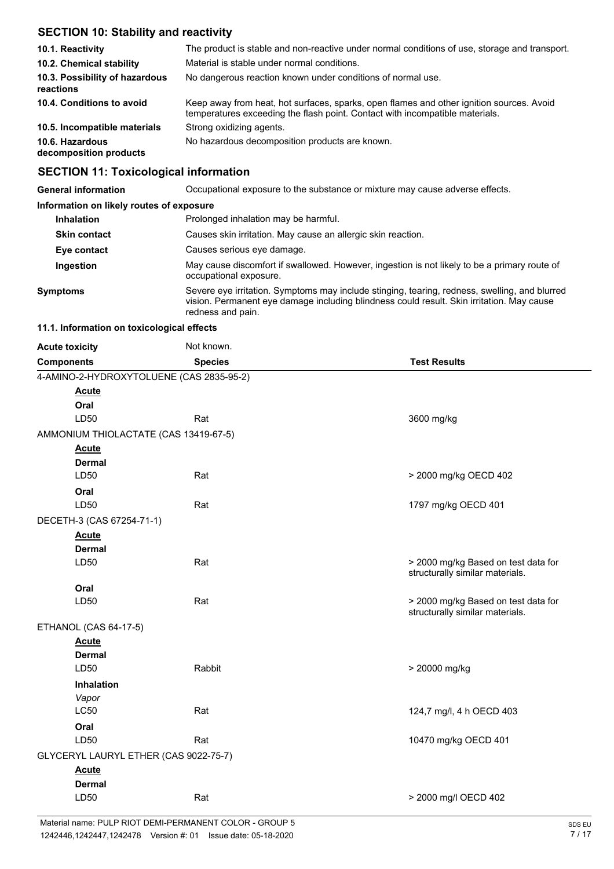### **SECTION 10: Stability and reactivity**

| 10.1. Reactivity                            | The product is stable and non-reactive under normal conditions of use, storage and transport.                                                                            |
|---------------------------------------------|--------------------------------------------------------------------------------------------------------------------------------------------------------------------------|
| 10.2. Chemical stability                    | Material is stable under normal conditions.                                                                                                                              |
| 10.3. Possibility of hazardous<br>reactions | No dangerous reaction known under conditions of normal use.                                                                                                              |
| 10.4. Conditions to avoid                   | Keep away from heat, hot surfaces, sparks, open flames and other ignition sources. Avoid<br>temperatures exceeding the flash point. Contact with incompatible materials. |
| 10.5. Incompatible materials                | Strong oxidizing agents.                                                                                                                                                 |
| 10.6. Hazardous<br>decomposition products   | No hazardous decomposition products are known.                                                                                                                           |

### **SECTION 11: Toxicological information**

| <b>General information</b>               | Occupational exposure to the substance or mixture may cause adverse effects.                                                                                                                                    |
|------------------------------------------|-----------------------------------------------------------------------------------------------------------------------------------------------------------------------------------------------------------------|
| Information on likely routes of exposure |                                                                                                                                                                                                                 |
| <b>Inhalation</b>                        | Prolonged inhalation may be harmful.                                                                                                                                                                            |
| <b>Skin contact</b>                      | Causes skin irritation. May cause an allergic skin reaction.                                                                                                                                                    |
| Eye contact                              | Causes serious eye damage.                                                                                                                                                                                      |
| Ingestion                                | May cause discomfort if swallowed. However, ingestion is not likely to be a primary route of<br>occupational exposure.                                                                                          |
| <b>Symptoms</b>                          | Severe eye irritation. Symptoms may include stinging, tearing, redness, swelling, and blurred<br>vision. Permanent eye damage including blindness could result. Skin irritation. May cause<br>redness and pain. |

#### **11.1. Information on toxicological effects**

| <b>Acute toxicity</b>                    | Not known.     |                                                                        |
|------------------------------------------|----------------|------------------------------------------------------------------------|
| <b>Components</b>                        | <b>Species</b> | <b>Test Results</b>                                                    |
| 4-AMINO-2-HYDROXYTOLUENE (CAS 2835-95-2) |                |                                                                        |
| <b>Acute</b>                             |                |                                                                        |
| Oral                                     |                |                                                                        |
| LD50                                     | Rat            | 3600 mg/kg                                                             |
| AMMONIUM THIOLACTATE (CAS 13419-67-5)    |                |                                                                        |
| <b>Acute</b>                             |                |                                                                        |
| <b>Dermal</b>                            |                |                                                                        |
| LD50                                     | Rat            | > 2000 mg/kg OECD 402                                                  |
| Oral                                     |                |                                                                        |
| LD50                                     | Rat            | 1797 mg/kg OECD 401                                                    |
| DECETH-3 (CAS 67254-71-1)                |                |                                                                        |
| <b>Acute</b>                             |                |                                                                        |
| <b>Dermal</b>                            |                |                                                                        |
| LD50                                     | Rat            | > 2000 mg/kg Based on test data for<br>structurally similar materials. |
| Oral                                     |                |                                                                        |
| LD50                                     | Rat            | > 2000 mg/kg Based on test data for<br>structurally similar materials. |
| ETHANOL (CAS 64-17-5)                    |                |                                                                        |
| <b>Acute</b>                             |                |                                                                        |
| <b>Dermal</b>                            |                |                                                                        |
| LD50                                     | Rabbit         | > 20000 mg/kg                                                          |
| Inhalation                               |                |                                                                        |
| Vapor                                    |                |                                                                        |
| LC50                                     | Rat            | 124,7 mg/l, 4 h OECD 403                                               |
| Oral                                     |                |                                                                        |
| LD50                                     | Rat            | 10470 mg/kg OECD 401                                                   |
| GLYCERYL LAURYL ETHER (CAS 9022-75-7)    |                |                                                                        |
| <b>Acute</b>                             |                |                                                                        |
| <b>Dermal</b>                            |                |                                                                        |
| LD50                                     | Rat            | > 2000 mg/l OECD 402                                                   |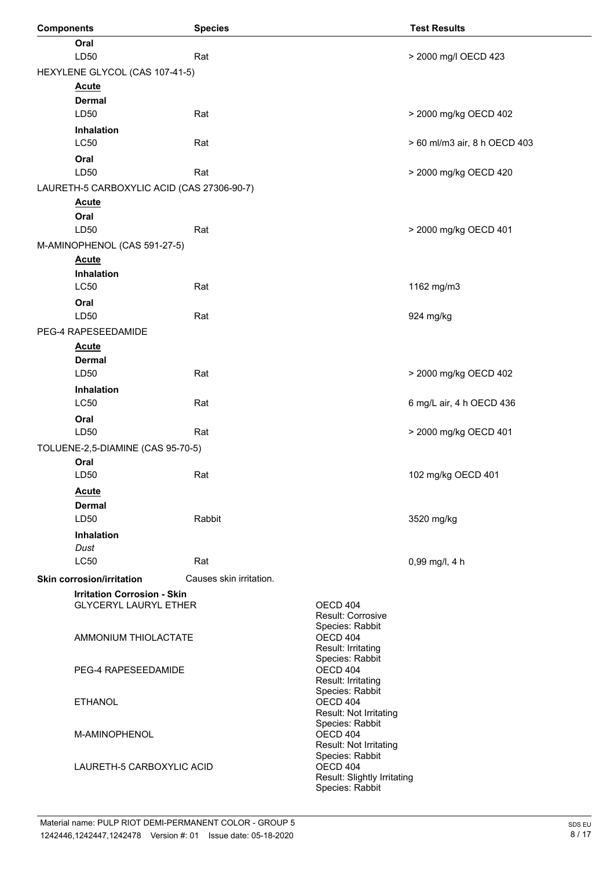| <b>Components</b> |                                            | <b>Species</b>          |                                       | <b>Test Results</b>          |
|-------------------|--------------------------------------------|-------------------------|---------------------------------------|------------------------------|
|                   | Oral<br>LD50                               | Rat                     |                                       | > 2000 mg/l OECD 423         |
|                   | HEXYLENE GLYCOL (CAS 107-41-5)             |                         |                                       |                              |
|                   | <b>Acute</b>                               |                         |                                       |                              |
|                   | <b>Dermal</b>                              |                         |                                       |                              |
|                   | LD50                                       | Rat                     |                                       | > 2000 mg/kg OECD 402        |
|                   | Inhalation<br>LC50                         | Rat                     |                                       | > 60 ml/m3 air, 8 h OECD 403 |
|                   | Oral<br>LD50                               | Rat                     |                                       | > 2000 mg/kg OECD 420        |
|                   | LAURETH-5 CARBOXYLIC ACID (CAS 27306-90-7) |                         |                                       |                              |
|                   | <b>Acute</b><br>Oral                       |                         |                                       |                              |
|                   | LD50                                       | Rat                     |                                       | > 2000 mg/kg OECD 401        |
|                   | M-AMINOPHENOL (CAS 591-27-5)               |                         |                                       |                              |
|                   | <b>Acute</b>                               |                         |                                       |                              |
|                   | <b>Inhalation</b>                          |                         |                                       |                              |
|                   | <b>LC50</b>                                | Rat                     |                                       | 1162 mg/m3                   |
|                   | Oral                                       |                         |                                       |                              |
|                   | LD50                                       | Rat                     |                                       | 924 mg/kg                    |
|                   | PEG-4 RAPESEEDAMIDE                        |                         |                                       |                              |
|                   | <b>Acute</b>                               |                         |                                       |                              |
|                   | <b>Dermal</b>                              |                         |                                       |                              |
|                   | LD50                                       | Rat                     |                                       | > 2000 mg/kg OECD 402        |
|                   | Inhalation                                 |                         |                                       |                              |
|                   | <b>LC50</b>                                | Rat                     |                                       | 6 mg/L air, 4 h OECD 436     |
|                   | Oral                                       |                         |                                       |                              |
|                   | LD50                                       | Rat                     |                                       | > 2000 mg/kg OECD 401        |
|                   | TOLUENE-2,5-DIAMINE (CAS 95-70-5)          |                         |                                       |                              |
|                   | Oral                                       |                         |                                       |                              |
|                   | LD50                                       | Rat                     |                                       | 102 mg/kg OECD 401           |
|                   | <b>Acute</b>                               |                         |                                       |                              |
|                   | Dermal                                     |                         |                                       |                              |
|                   | LD50                                       | Rabbit                  |                                       | 3520 mg/kg                   |
|                   | <b>Inhalation</b>                          |                         |                                       |                              |
|                   | Dust                                       |                         |                                       |                              |
|                   | <b>LC50</b>                                | Rat                     |                                       | 0,99 mg/l, 4 h               |
|                   | <b>Skin corrosion/irritation</b>           | Causes skin irritation. |                                       |                              |
|                   | <b>Irritation Corrosion - Skin</b>         |                         | OECD 404                              |                              |
|                   | <b>GLYCERYL LAURYL ETHER</b>               |                         | Result: Corrosive                     |                              |
|                   |                                            |                         | Species: Rabbit                       |                              |
|                   | AMMONIUM THIOLACTATE                       |                         | OECD 404<br>Result: Irritating        |                              |
|                   |                                            |                         | Species: Rabbit                       |                              |
|                   | PEG-4 RAPESEEDAMIDE                        |                         | OECD 404                              |                              |
|                   |                                            |                         | Result: Irritating<br>Species: Rabbit |                              |
|                   | <b>ETHANOL</b>                             |                         | OECD 404                              |                              |
|                   |                                            |                         | Result: Not Irritating                |                              |
|                   | M-AMINOPHENOL                              |                         | Species: Rabbit<br>OECD 404           |                              |
|                   |                                            |                         | Result: Not Irritating                |                              |
|                   | LAURETH-5 CARBOXYLIC ACID                  |                         | Species: Rabbit<br>OECD 404           |                              |
|                   |                                            |                         | Result: Slightly Irritating           |                              |
|                   |                                            |                         | Species: Rabbit                       |                              |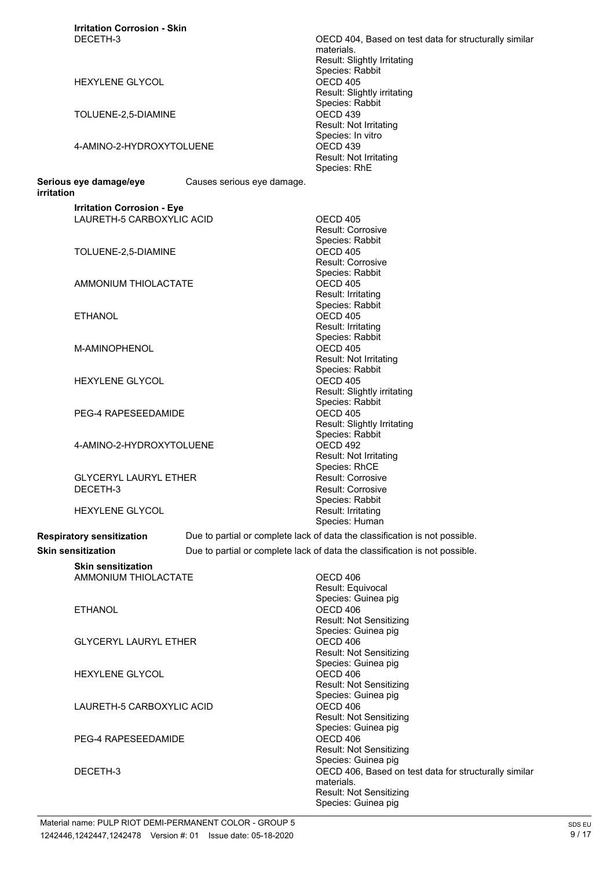| <b>Irritation Corrosion - Skin</b> |                            |                                                                             |
|------------------------------------|----------------------------|-----------------------------------------------------------------------------|
| DECETH-3                           |                            | OECD 404, Based on test data for structurally similar                       |
|                                    |                            | materials.                                                                  |
|                                    |                            | Result: Slightly Irritating                                                 |
| <b>HEXYLENE GLYCOL</b>             |                            | Species: Rabbit<br>OECD 405                                                 |
|                                    |                            | Result: Slightly irritating                                                 |
|                                    |                            | Species: Rabbit                                                             |
| TOLUENE-2,5-DIAMINE                |                            | OECD <sub>439</sub>                                                         |
|                                    |                            | Result: Not Irritating                                                      |
|                                    |                            | Species: In vitro                                                           |
| 4-AMINO-2-HYDROXYTOLUENE           |                            | OECD 439                                                                    |
|                                    |                            | Result: Not Irritating                                                      |
|                                    |                            | Species: RhE                                                                |
| Serious eye damage/eye             | Causes serious eye damage. |                                                                             |
| irritation                         |                            |                                                                             |
| <b>Irritation Corrosion - Eye</b>  |                            |                                                                             |
| LAURETH-5 CARBOXYLIC ACID          |                            | OECD 405                                                                    |
|                                    |                            | Result: Corrosive                                                           |
|                                    |                            | Species: Rabbit                                                             |
| TOLUENE-2,5-DIAMINE                |                            | OECD 405                                                                    |
|                                    |                            | <b>Result: Corrosive</b>                                                    |
|                                    |                            | Species: Rabbit                                                             |
| AMMONIUM THIOLACTATE               |                            | OECD 405                                                                    |
|                                    |                            | Result: Irritating<br>Species: Rabbit                                       |
| <b>ETHANOL</b>                     |                            | OECD 405                                                                    |
|                                    |                            | Result: Irritating                                                          |
|                                    |                            | Species: Rabbit                                                             |
| M-AMINOPHENOL                      |                            | OECD 405                                                                    |
|                                    |                            | Result: Not Irritating                                                      |
|                                    |                            | Species: Rabbit                                                             |
| <b>HEXYLENE GLYCOL</b>             |                            | OECD 405                                                                    |
|                                    |                            | Result: Slightly irritating                                                 |
|                                    |                            | Species: Rabbit                                                             |
| PEG-4 RAPESEEDAMIDE                |                            | OECD 405                                                                    |
|                                    |                            | Result: Slightly Irritating<br>Species: Rabbit                              |
| 4-AMINO-2-HYDROXYTOLUENE           |                            | OECD 492                                                                    |
|                                    |                            | <b>Result: Not Irritating</b>                                               |
|                                    |                            | Species: RhCE                                                               |
| <b>GLYCERYL LAURYL ETHER</b>       |                            | <b>Result: Corrosive</b>                                                    |
| DECETH-3                           |                            | Result: Corrosive                                                           |
|                                    |                            | Species: Rabbit                                                             |
| <b>HEXYLENE GLYCOL</b>             |                            | Result: Irritating                                                          |
|                                    |                            | Species: Human                                                              |
| <b>Respiratory sensitization</b>   |                            | Due to partial or complete lack of data the classification is not possible. |
| <b>Skin sensitization</b>          |                            | Due to partial or complete lack of data the classification is not possible. |
| <b>Skin sensitization</b>          |                            |                                                                             |
| <b>AMMONIUM THIOLACTATE</b>        |                            | OECD 406                                                                    |
|                                    |                            | Result: Equivocal                                                           |
|                                    |                            | Species: Guinea pig                                                         |
| <b>ETHANOL</b>                     |                            | OECD 406                                                                    |
|                                    |                            | Result: Not Sensitizing                                                     |
|                                    |                            | Species: Guinea pig                                                         |
| <b>GLYCERYL LAURYL ETHER</b>       |                            | OECD 406                                                                    |
|                                    |                            | <b>Result: Not Sensitizing</b>                                              |
|                                    |                            | Species: Guinea pig                                                         |
| <b>HEXYLENE GLYCOL</b>             |                            | OECD 406                                                                    |
|                                    |                            | <b>Result: Not Sensitizing</b><br>Species: Guinea pig                       |
| LAURETH-5 CARBOXYLIC ACID          |                            | OECD 406                                                                    |
|                                    |                            | <b>Result: Not Sensitizing</b>                                              |
|                                    |                            | Species: Guinea pig                                                         |
| PEG-4 RAPESEEDAMIDE                |                            | OECD 406                                                                    |
|                                    |                            | <b>Result: Not Sensitizing</b>                                              |
|                                    |                            | Species: Guinea pig                                                         |
| DECETH-3                           |                            | OECD 406, Based on test data for structurally similar                       |
|                                    |                            | materials.                                                                  |
|                                    |                            | <b>Result: Not Sensitizing</b>                                              |
|                                    |                            | Species: Guinea pig                                                         |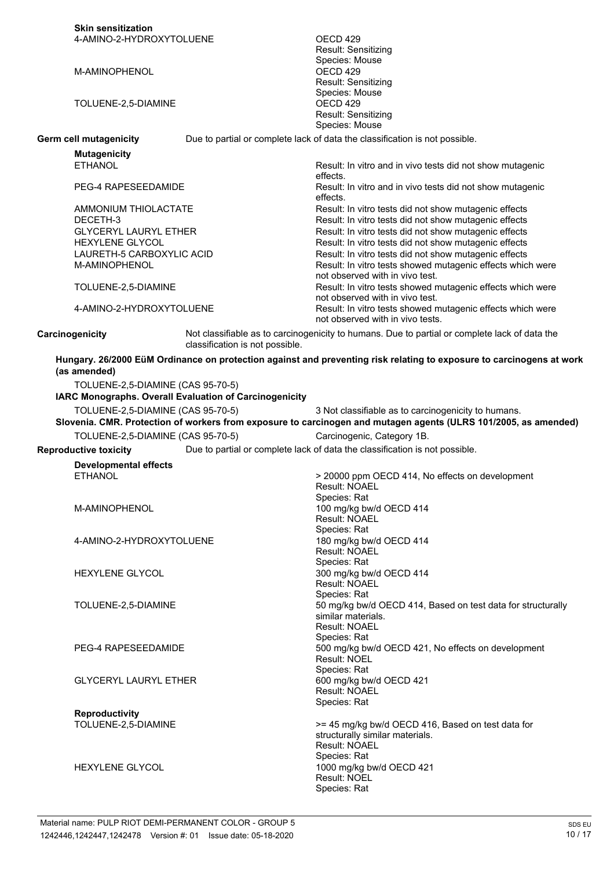|                 | <b>Skin sensitization</b>         |                                                        |                                                                                                                      |
|-----------------|-----------------------------------|--------------------------------------------------------|----------------------------------------------------------------------------------------------------------------------|
|                 | 4-AMINO-2-HYDROXYTOLUENE          |                                                        | OECD 429                                                                                                             |
|                 |                                   |                                                        | Result: Sensitizing                                                                                                  |
|                 |                                   |                                                        | Species: Mouse                                                                                                       |
|                 | M-AMINOPHENOL                     |                                                        | OECD 429<br>Result: Sensitizing                                                                                      |
|                 |                                   |                                                        | Species: Mouse                                                                                                       |
|                 | TOLUENE-2,5-DIAMINE               |                                                        | OECD <sub>429</sub>                                                                                                  |
|                 |                                   |                                                        | Result: Sensitizing                                                                                                  |
|                 |                                   |                                                        | Species: Mouse                                                                                                       |
|                 | Germ cell mutagenicity            |                                                        | Due to partial or complete lack of data the classification is not possible.                                          |
|                 | <b>Mutagenicity</b>               |                                                        |                                                                                                                      |
|                 | <b>ETHANOL</b>                    |                                                        | Result: In vitro and in vivo tests did not show mutagenic                                                            |
|                 |                                   |                                                        | effects.                                                                                                             |
|                 | PEG-4 RAPESEEDAMIDE               |                                                        | Result: In vitro and in vivo tests did not show mutagenic                                                            |
|                 | AMMONIUM THIOLACTATE              |                                                        | effects.<br>Result: In vitro tests did not show mutagenic effects                                                    |
|                 | DECETH-3                          |                                                        | Result: In vitro tests did not show mutagenic effects                                                                |
|                 | <b>GLYCERYL LAURYL ETHER</b>      |                                                        | Result: In vitro tests did not show mutagenic effects                                                                |
|                 | <b>HEXYLENE GLYCOL</b>            |                                                        | Result: In vitro tests did not show mutagenic effects                                                                |
|                 | LAURETH-5 CARBOXYLIC ACID         |                                                        | Result: In vitro tests did not show mutagenic effects                                                                |
|                 | M-AMINOPHENOL                     |                                                        | Result: In vitro tests showed mutagenic effects which were                                                           |
|                 |                                   |                                                        | not observed with in vivo test.                                                                                      |
|                 | TOLUENE-2,5-DIAMINE               |                                                        | Result: In vitro tests showed mutagenic effects which were                                                           |
|                 | 4-AMINO-2-HYDROXYTOLUENE          |                                                        | not observed with in vivo test.<br>Result: In vitro tests showed mutagenic effects which were                        |
|                 |                                   |                                                        | not observed with in vivo tests.                                                                                     |
|                 |                                   |                                                        | Not classifiable as to carcinogenicity to humans. Due to partial or complete lack of data the                        |
| Carcinogenicity |                                   | classification is not possible.                        |                                                                                                                      |
|                 |                                   |                                                        | Hungary. 26/2000 EüM Ordinance on protection against and preventing risk relating to exposure to carcinogens at work |
|                 | (as amended)                      |                                                        |                                                                                                                      |
|                 | TOLUENE-2,5-DIAMINE (CAS 95-70-5) |                                                        |                                                                                                                      |
|                 |                                   |                                                        |                                                                                                                      |
|                 |                                   |                                                        |                                                                                                                      |
|                 |                                   | IARC Monographs. Overall Evaluation of Carcinogenicity |                                                                                                                      |
|                 | TOLUENE-2,5-DIAMINE (CAS 95-70-5) |                                                        | 3 Not classifiable as to carcinogenicity to humans.                                                                  |
|                 |                                   |                                                        | Slovenia. CMR. Protection of workers from exposure to carcinogen and mutagen agents (ULRS 101/2005, as amended)      |
|                 | TOLUENE-2,5-DIAMINE (CAS 95-70-5) |                                                        | Carcinogenic, Category 1B.                                                                                           |
|                 | <b>Reproductive toxicity</b>      |                                                        | Due to partial or complete lack of data the classification is not possible.                                          |
|                 | <b>Developmental effects</b>      |                                                        |                                                                                                                      |
|                 | <b>ETHANOL</b>                    |                                                        | > 20000 ppm OECD 414, No effects on development                                                                      |
|                 |                                   |                                                        | Result: NOAEL                                                                                                        |
|                 | M-AMINOPHENOL                     |                                                        | Species: Rat<br>100 mg/kg bw/d OECD 414                                                                              |
|                 |                                   |                                                        | Result: NOAEL                                                                                                        |
|                 |                                   |                                                        | Species: Rat                                                                                                         |
|                 | 4-AMINO-2-HYDROXYTOLUENE          |                                                        | 180 mg/kg bw/d OECD 414                                                                                              |
|                 |                                   |                                                        | Result: NOAEL                                                                                                        |
|                 | <b>HEXYLENE GLYCOL</b>            |                                                        | Species: Rat                                                                                                         |
|                 |                                   |                                                        | 300 mg/kg bw/d OECD 414<br>Result: NOAEL                                                                             |
|                 |                                   |                                                        | Species: Rat                                                                                                         |
|                 | TOLUENE-2,5-DIAMINE               |                                                        | 50 mg/kg bw/d OECD 414, Based on test data for structurally                                                          |
|                 |                                   |                                                        | similar materials.                                                                                                   |
|                 |                                   |                                                        | <b>Result: NOAEL</b>                                                                                                 |
|                 |                                   |                                                        | Species: Rat                                                                                                         |
|                 | PEG-4 RAPESEEDAMIDE               |                                                        | 500 mg/kg bw/d OECD 421, No effects on development<br>Result: NOEL                                                   |
|                 |                                   |                                                        | Species: Rat                                                                                                         |
|                 | <b>GLYCERYL LAURYL ETHER</b>      |                                                        | 600 mg/kg bw/d OECD 421                                                                                              |
|                 |                                   |                                                        | Result: NOAEL                                                                                                        |
|                 |                                   |                                                        | Species: Rat                                                                                                         |
|                 | <b>Reproductivity</b>             |                                                        |                                                                                                                      |
|                 | TOLUENE-2,5-DIAMINE               |                                                        | >= 45 mg/kg bw/d OECD 416, Based on test data for                                                                    |
|                 |                                   |                                                        | structurally similar materials.<br>Result: NOAEL                                                                     |
|                 |                                   |                                                        | Species: Rat                                                                                                         |
|                 | HEXYLENE GLYCOL                   |                                                        | 1000 mg/kg bw/d OECD 421                                                                                             |
|                 |                                   |                                                        | Result: NOEL<br>Species: Rat                                                                                         |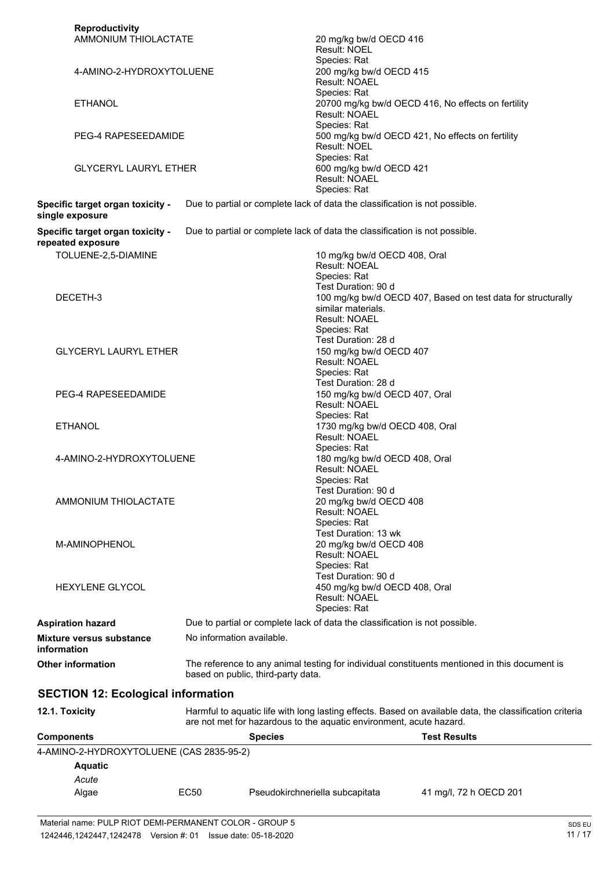| Algae                                                       | EC50 | Pseudokirchneriella subcapitata                                                                                                                  | 41 mg/l, 72 h OECD 201                                                                                  |
|-------------------------------------------------------------|------|--------------------------------------------------------------------------------------------------------------------------------------------------|---------------------------------------------------------------------------------------------------------|
| Acute                                                       |      |                                                                                                                                                  |                                                                                                         |
| <b>Aquatic</b>                                              |      |                                                                                                                                                  |                                                                                                         |
| 4-AMINO-2-HYDROXYTOLUENE (CAS 2835-95-2)                    |      |                                                                                                                                                  |                                                                                                         |
| <b>Components</b>                                           |      | are not met for hazardous to the aquatic environment, acute hazard.<br><b>Species</b>                                                            | <b>Test Results</b>                                                                                     |
| <b>SECTION 12: Ecological information</b><br>12.1. Toxicity |      |                                                                                                                                                  | Harmful to aquatic life with long lasting effects. Based on available data, the classification criteria |
|                                                             |      | based on public, third-party data.                                                                                                               |                                                                                                         |
| <b>Other information</b>                                    |      |                                                                                                                                                  | The reference to any animal testing for individual constituents mentioned in this document is           |
| <b>Mixture versus substance</b><br>information              |      | No information available.                                                                                                                        |                                                                                                         |
| <b>Aspiration hazard</b>                                    |      | Due to partial or complete lack of data the classification is not possible.                                                                      |                                                                                                         |
| M-AMINOPHENOL<br><b>HEXYLENE GLYCOL</b>                     |      | 20 mg/kg bw/d OECD 408<br>Result: NOAEL<br>Species: Rat<br>Test Duration: 90 d<br>450 mg/kg bw/d OECD 408, Oral<br>Result: NOAEL<br>Species: Rat |                                                                                                         |
| AMMONIUM THIOLACTATE                                        |      | 20 mg/kg bw/d OECD 408<br>Result: NOAEL<br>Species: Rat<br>Test Duration: 13 wk                                                                  |                                                                                                         |
| 4-AMINO-2-HYDROXYTOLUENE                                    |      | Species: Rat<br>180 mg/kg bw/d OECD 408, Oral<br>Result: NOAEL<br>Species: Rat<br>Test Duration: 90 d                                            |                                                                                                         |
| <b>ETHANOL</b>                                              |      | Species: Rat<br>1730 mg/kg bw/d OECD 408, Oral<br>Result: NOAEL                                                                                  |                                                                                                         |
| PEG-4 RAPESEEDAMIDE                                         |      | Test Duration: 28 d<br>150 mg/kg bw/d OECD 407, Oral<br><b>Result: NOAEL</b>                                                                     |                                                                                                         |
| <b>GLYCERYL LAURYL ETHER</b>                                |      | Species: Rat<br>Test Duration: 28 d<br>150 mg/kg bw/d OECD 407<br>Result: NOAEL<br>Species: Rat                                                  |                                                                                                         |
| DECETH-3                                                    |      | Species: Rat<br>Test Duration: 90 d<br>similar materials.<br><b>Result: NOAEL</b>                                                                | 100 mg/kg bw/d OECD 407, Based on test data for structurally                                            |
| repeated exposure<br>TOLUENE-2,5-DIAMINE                    |      | 10 mg/kg bw/d OECD 408, Oral<br>Result: NOEAL                                                                                                    |                                                                                                         |
| single exposure<br>Specific target organ toxicity -         |      | Due to partial or complete lack of data the classification is not possible.                                                                      |                                                                                                         |
| Specific target organ toxicity -                            |      | Species: Rat<br>Due to partial or complete lack of data the classification is not possible.                                                      |                                                                                                         |
| <b>GLYCERYL LAURYL ETHER</b>                                |      | Species: Rat<br>600 mg/kg bw/d OECD 421<br>Result: NOAEL                                                                                         |                                                                                                         |
| <b>PEG-4 RAPESEEDAMIDE</b>                                  |      | Species: Rat<br><b>Result: NOEL</b>                                                                                                              | 500 mg/kg bw/d OECD 421, No effects on fertility                                                        |
| <b>ETHANOL</b>                                              |      | Species: Rat<br><b>Result: NOAEL</b>                                                                                                             | 20700 mg/kg bw/d OECD 416, No effects on fertility                                                      |
| 4-AMINO-2-HYDROXYTOLUENE                                    |      | Species: Rat<br>200 mg/kg bw/d OECD 415<br>Result: NOAEL                                                                                         |                                                                                                         |
| <b>Reproductivity</b><br>AMMONIUM THIOLACTATE               |      | 20 mg/kg bw/d OECD 416<br>Result: NOEL                                                                                                           |                                                                                                         |
|                                                             |      |                                                                                                                                                  |                                                                                                         |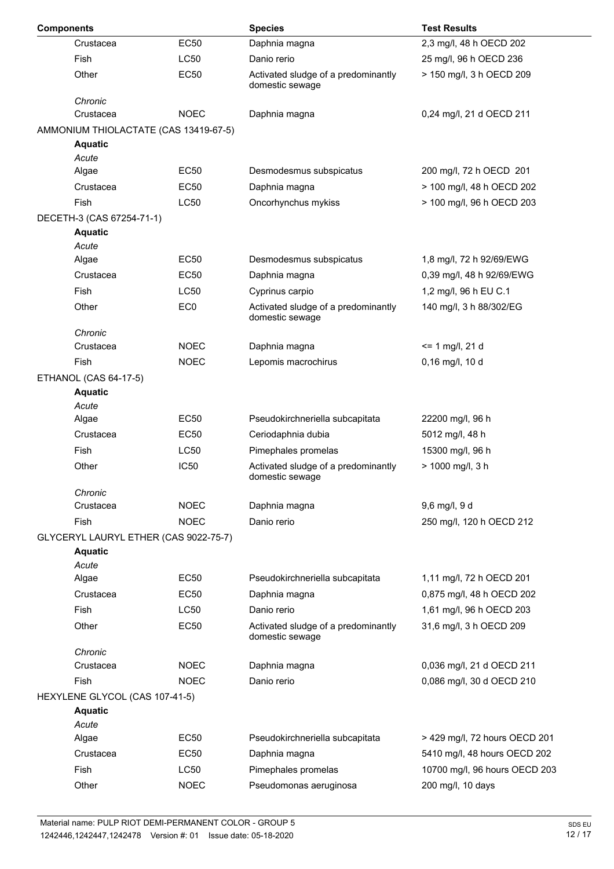| <b>Components</b> |                                       |                  | <b>Species</b>                                         | <b>Test Results</b>           |
|-------------------|---------------------------------------|------------------|--------------------------------------------------------|-------------------------------|
|                   | Crustacea                             | <b>EC50</b>      | Daphnia magna                                          | 2,3 mg/l, 48 h OECD 202       |
|                   | Fish                                  | LC50             | Danio rerio                                            | 25 mg/l, 96 h OECD 236        |
|                   | Other                                 | <b>EC50</b>      | Activated sludge of a predominantly<br>domestic sewage | > 150 mg/l, 3 h OECD 209      |
|                   | Chronic                               |                  |                                                        |                               |
|                   | Crustacea                             | <b>NOEC</b>      | Daphnia magna                                          | 0,24 mg/l, 21 d OECD 211      |
|                   | AMMONIUM THIOLACTATE (CAS 13419-67-5) |                  |                                                        |                               |
|                   | <b>Aquatic</b>                        |                  |                                                        |                               |
|                   | Acute<br>Algae                        | <b>EC50</b>      | Desmodesmus subspicatus                                | 200 mg/l, 72 h OECD 201       |
|                   | Crustacea                             | <b>EC50</b>      | Daphnia magna                                          | > 100 mg/l, 48 h OECD 202     |
|                   | <b>Fish</b>                           | <b>LC50</b>      | Oncorhynchus mykiss                                    | > 100 mg/l, 96 h OECD 203     |
|                   | DECETH-3 (CAS 67254-71-1)             |                  |                                                        |                               |
|                   | <b>Aquatic</b>                        |                  |                                                        |                               |
|                   | Acute                                 |                  |                                                        |                               |
|                   | Algae                                 | <b>EC50</b>      | Desmodesmus subspicatus                                | 1,8 mg/l, 72 h 92/69/EWG      |
|                   | Crustacea                             | EC50             | Daphnia magna                                          | 0,39 mg/l, 48 h 92/69/EWG     |
|                   | Fish                                  | <b>LC50</b>      | Cyprinus carpio                                        | 1,2 mg/l, 96 h EU C.1         |
|                   | Other                                 | EC <sub>0</sub>  | Activated sludge of a predominantly<br>domestic sewage | 140 mg/l, 3 h 88/302/EG       |
|                   | Chronic                               |                  |                                                        |                               |
|                   | Crustacea                             | <b>NOEC</b>      | Daphnia magna                                          | $= 1$ mg/l, 21 d              |
|                   | Fish                                  | <b>NOEC</b>      | Lepomis macrochirus                                    | 0,16 mg/l, 10 d               |
|                   | ETHANOL (CAS 64-17-5)                 |                  |                                                        |                               |
|                   | <b>Aquatic</b><br>Acute               |                  |                                                        |                               |
|                   | Algae                                 | EC50             | Pseudokirchneriella subcapitata                        | 22200 mg/l, 96 h              |
|                   | Crustacea                             | <b>EC50</b>      | Ceriodaphnia dubia                                     | 5012 mg/l, 48 h               |
|                   | Fish                                  | <b>LC50</b>      | Pimephales promelas                                    | 15300 mg/l, 96 h              |
|                   | Other                                 | IC <sub>50</sub> | Activated sludge of a predominantly<br>domestic sewage | > 1000 mg/l, 3 h              |
|                   | Chronic                               |                  |                                                        |                               |
|                   | Crustacea                             | <b>NOEC</b>      | Daphnia magna                                          | 9,6 mg/l, 9 d                 |
|                   | <b>Fish</b>                           | <b>NOEC</b>      | Danio rerio                                            | 250 mg/l, 120 h OECD 212      |
|                   | GLYCERYL LAURYL ETHER (CAS 9022-75-7) |                  |                                                        |                               |
|                   | <b>Aquatic</b>                        |                  |                                                        |                               |
|                   | Acute<br>Algae                        | <b>EC50</b>      | Pseudokirchneriella subcapitata                        | 1,11 mg/l, 72 h OECD 201      |
|                   | Crustacea                             | <b>EC50</b>      | Daphnia magna                                          | 0,875 mg/l, 48 h OECD 202     |
|                   | Fish                                  | <b>LC50</b>      | Danio rerio                                            | 1,61 mg/l, 96 h OECD 203      |
|                   | Other                                 | <b>EC50</b>      |                                                        |                               |
|                   |                                       |                  | Activated sludge of a predominantly<br>domestic sewage | 31,6 mg/l, 3 h OECD 209       |
|                   | Chronic                               |                  |                                                        |                               |
|                   | Crustacea                             | <b>NOEC</b>      | Daphnia magna                                          | 0,036 mg/l, 21 d OECD 211     |
|                   | <b>Fish</b>                           | <b>NOEC</b>      | Danio rerio                                            | 0,086 mg/l, 30 d OECD 210     |
|                   | HEXYLENE GLYCOL (CAS 107-41-5)        |                  |                                                        |                               |
|                   | <b>Aquatic</b><br>Acute               |                  |                                                        |                               |
|                   | Algae                                 | <b>EC50</b>      | Pseudokirchneriella subcapitata                        | > 429 mg/l, 72 hours OECD 201 |
|                   | Crustacea                             | <b>EC50</b>      | Daphnia magna                                          | 5410 mg/l, 48 hours OECD 202  |
|                   | <b>Fish</b>                           | <b>LC50</b>      | Pimephales promelas                                    | 10700 mg/l, 96 hours OECD 203 |
|                   | Other                                 | <b>NOEC</b>      | Pseudomonas aeruginosa                                 | 200 mg/l, 10 days             |
|                   |                                       |                  |                                                        |                               |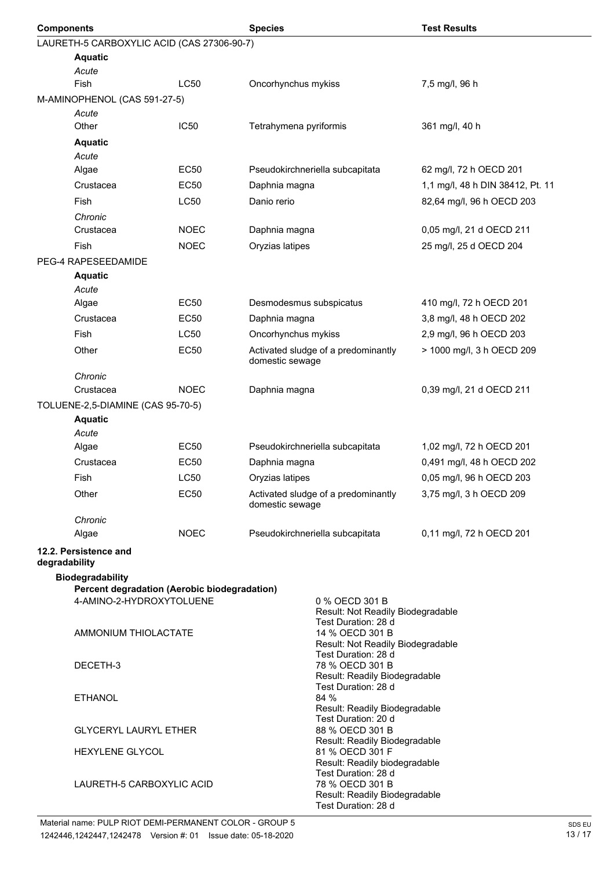| <b>Components</b> |                                                     |             | <b>Species</b>          |                                                          | <b>Test Results</b>              |
|-------------------|-----------------------------------------------------|-------------|-------------------------|----------------------------------------------------------|----------------------------------|
|                   | LAURETH-5 CARBOXYLIC ACID (CAS 27306-90-7)          |             |                         |                                                          |                                  |
|                   | <b>Aquatic</b>                                      |             |                         |                                                          |                                  |
|                   | Acute                                               |             |                         |                                                          |                                  |
|                   | <b>Fish</b>                                         | <b>LC50</b> | Oncorhynchus mykiss     |                                                          | 7,5 mg/l, 96 h                   |
|                   | M-AMINOPHENOL (CAS 591-27-5)                        |             |                         |                                                          |                                  |
|                   | Acute                                               |             |                         |                                                          |                                  |
|                   | Other                                               | <b>IC50</b> | Tetrahymena pyriformis  |                                                          | 361 mg/l, 40 h                   |
|                   | <b>Aquatic</b>                                      |             |                         |                                                          |                                  |
|                   | Acute                                               |             |                         |                                                          |                                  |
|                   | Algae                                               | <b>EC50</b> |                         | Pseudokirchneriella subcapitata                          | 62 mg/l, 72 h OECD 201           |
|                   | Crustacea                                           | <b>EC50</b> | Daphnia magna           |                                                          | 1,1 mg/l, 48 h DIN 38412, Pt. 11 |
|                   | Fish                                                | <b>LC50</b> | Danio rerio             |                                                          | 82,64 mg/l, 96 h OECD 203        |
|                   | Chronic<br>Crustacea                                | <b>NOEC</b> | Daphnia magna           |                                                          | 0,05 mg/l, 21 d OECD 211         |
|                   | Fish                                                | <b>NOEC</b> | Oryzias latipes         |                                                          | 25 mg/l, 25 d OECD 204           |
|                   |                                                     |             |                         |                                                          |                                  |
|                   | PEG-4 RAPESEEDAMIDE                                 |             |                         |                                                          |                                  |
|                   | <b>Aquatic</b><br>Acute                             |             |                         |                                                          |                                  |
|                   | Algae                                               | <b>EC50</b> | Desmodesmus subspicatus |                                                          | 410 mg/l, 72 h OECD 201          |
|                   | Crustacea                                           | <b>EC50</b> | Daphnia magna           |                                                          | 3,8 mg/l, 48 h OECD 202          |
|                   | <b>Fish</b>                                         | <b>LC50</b> | Oncorhynchus mykiss     |                                                          | 2,9 mg/l, 96 h OECD 203          |
|                   |                                                     |             |                         |                                                          |                                  |
|                   | Other                                               | <b>EC50</b> | domestic sewage         | Activated sludge of a predominantly                      | > 1000 mg/l, 3 h OECD 209        |
|                   | Chronic                                             |             |                         |                                                          |                                  |
|                   | Crustacea                                           | <b>NOEC</b> | Daphnia magna           |                                                          | 0,39 mg/l, 21 d OECD 211         |
|                   | TOLUENE-2,5-DIAMINE (CAS 95-70-5)                   |             |                         |                                                          |                                  |
|                   | <b>Aquatic</b><br>Acute                             |             |                         |                                                          |                                  |
|                   | Algae                                               | <b>EC50</b> |                         | Pseudokirchneriella subcapitata                          | 1,02 mg/l, 72 h OECD 201         |
|                   | Crustacea                                           | EC50        | Daphnia magna           |                                                          | 0,491 mg/l, 48 h OECD 202        |
|                   | Fish                                                | <b>LC50</b> | Oryzias latipes         |                                                          | 0,05 mg/l, 96 h OECD 203         |
|                   | Other                                               | EC50        |                         | Activated sludge of a predominantly                      | 3,75 mg/l, 3 h OECD 209          |
|                   |                                                     |             | domestic sewage         |                                                          |                                  |
|                   | Chronic                                             |             |                         |                                                          |                                  |
|                   | Algae                                               | <b>NOEC</b> |                         | Pseudokirchneriella subcapitata                          | 0,11 mg/l, 72 h OECD 201         |
| degradability     | 12.2. Persistence and                               |             |                         |                                                          |                                  |
|                   | Biodegradability                                    |             |                         |                                                          |                                  |
|                   | <b>Percent degradation (Aerobic biodegradation)</b> |             |                         |                                                          |                                  |
|                   | 4-AMINO-2-HYDROXYTOLUENE                            |             |                         | 0 % OECD 301 B<br>Result: Not Readily Biodegradable      |                                  |
|                   |                                                     |             |                         | Test Duration: 28 d                                      |                                  |
|                   | AMMONIUM THIOLACTATE                                |             |                         | 14 % OECD 301 B                                          |                                  |
|                   |                                                     |             |                         | Result: Not Readily Biodegradable<br>Test Duration: 28 d |                                  |
|                   | DECETH-3                                            |             |                         | 78 % OECD 301 B                                          |                                  |
|                   |                                                     |             |                         | Result: Readily Biodegradable<br>Test Duration: 28 d     |                                  |
|                   | <b>ETHANOL</b>                                      |             |                         | 84 %                                                     |                                  |
|                   |                                                     |             |                         | Result: Readily Biodegradable<br>Test Duration: 20 d     |                                  |
|                   | <b>GLYCERYL LAURYL ETHER</b>                        |             |                         | 88 % OECD 301 B                                          |                                  |
|                   |                                                     |             |                         | Result: Readily Biodegradable                            |                                  |
|                   | HEXYLENE GLYCOL                                     |             |                         | 81 % OECD 301 F<br>Result: Readily biodegradable         |                                  |
|                   |                                                     |             |                         | Test Duration: 28 d                                      |                                  |
|                   | LAURETH-5 CARBOXYLIC ACID                           |             |                         | 78 % OECD 301 B                                          |                                  |
|                   |                                                     |             |                         | Result: Readily Biodegradable<br>Test Duration: 28 d     |                                  |
|                   |                                                     |             |                         |                                                          |                                  |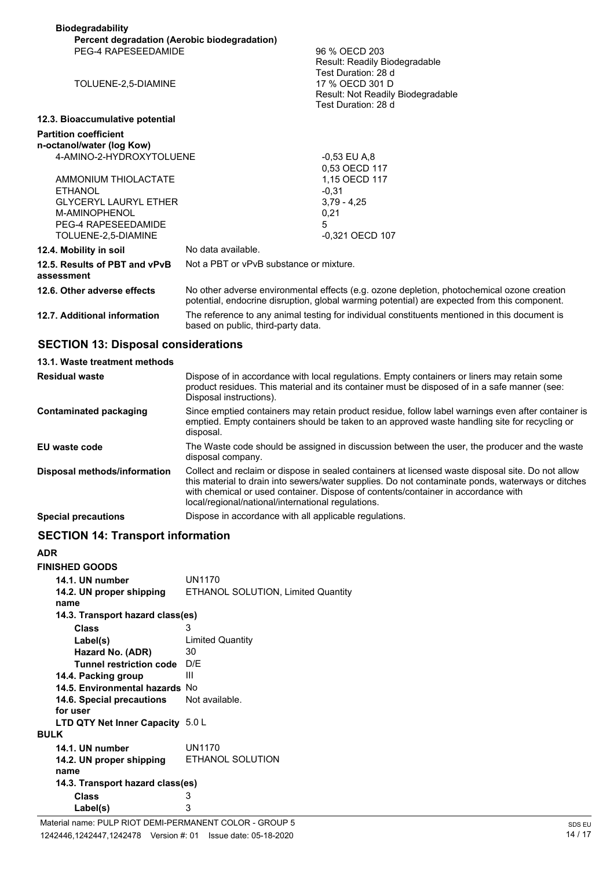| <b>Biodegradability</b><br>Percent degradation (Aerobic biodegradation)                                                               |                                                                                                                                                                                            |  |
|---------------------------------------------------------------------------------------------------------------------------------------|--------------------------------------------------------------------------------------------------------------------------------------------------------------------------------------------|--|
| PEG-4 RAPESEEDAMIDE                                                                                                                   | 96 % OECD 203<br>Result: Readily Biodegradable<br>Test Duration: 28 d                                                                                                                      |  |
| TOLUENE-2,5-DIAMINE                                                                                                                   | 17 % OECD 301 D<br>Result: Not Readily Biodegradable<br>Test Duration: 28 d                                                                                                                |  |
| 12.3. Bioaccumulative potential                                                                                                       |                                                                                                                                                                                            |  |
| <b>Partition coefficient</b><br>n-octanol/water (log Kow)<br>4-AMINO-2-HYDROXYTOLUENE                                                 | -0.53 EU A.8<br>0.53 OECD 117                                                                                                                                                              |  |
| AMMONIUM THIOLACTATE<br><b>ETHANOL</b><br><b>GLYCERYL LAURYL ETHER</b><br>M-AMINOPHENOL<br>PEG-4 RAPESEEDAMIDE<br>TOLUENE-2,5-DIAMINE | 1.15 OECD 117<br>$-0.31$<br>$3.79 - 4.25$<br>0,21<br>5<br>-0.321 OECD 107                                                                                                                  |  |
| 12.4. Mobility in soil                                                                                                                | No data available.                                                                                                                                                                         |  |
| 12.5. Results of PBT and vPvB<br>assessment                                                                                           | Not a PBT or vPvB substance or mixture.                                                                                                                                                    |  |
| 12.6. Other adverse effects                                                                                                           | No other adverse environmental effects (e.g. ozone depletion, photochemical ozone creation<br>potential, endocrine disruption, global warming potential) are expected from this component. |  |
| 12.7. Additional information                                                                                                          | The reference to any animal testing for individual constituents mentioned in this document is<br>based on public, third-party data.                                                        |  |

### **SECTION 13: Disposal considerations**

| 13.1. Waste treatment methods |                                                                                                                                                                                                                                                                                                                                                   |
|-------------------------------|---------------------------------------------------------------------------------------------------------------------------------------------------------------------------------------------------------------------------------------------------------------------------------------------------------------------------------------------------|
| <b>Residual waste</b>         | Dispose of in accordance with local regulations. Empty containers or liners may retain some<br>product residues. This material and its container must be disposed of in a safe manner (see:<br>Disposal instructions).                                                                                                                            |
| <b>Contaminated packaging</b> | Since emptied containers may retain product residue, follow label warnings even after container is<br>emptied. Empty containers should be taken to an approved waste handling site for recycling or<br>disposal.                                                                                                                                  |
| EU waste code                 | The Waste code should be assigned in discussion between the user, the producer and the waste<br>disposal company.                                                                                                                                                                                                                                 |
| Disposal methods/information  | Collect and reclaim or dispose in sealed containers at licensed waste disposal site. Do not allow<br>this material to drain into sewers/water supplies. Do not contaminate ponds, waterways or ditches<br>with chemical or used container. Dispose of contents/container in accordance with<br>local/regional/national/international regulations. |
| <b>Special precautions</b>    | Dispose in accordance with all applicable regulations.                                                                                                                                                                                                                                                                                            |

### **SECTION 14: Transport information**

#### **ADR**

| <b>FINISHED GOODS</b>                                |                                    |
|------------------------------------------------------|------------------------------------|
| 14.1. UN number                                      | UN1170                             |
| 14.2. UN proper shipping                             | ETHANOL SOLUTION, Limited Quantity |
| name                                                 |                                    |
| 14.3. Transport hazard class(es)                     |                                    |
| Class                                                | 3                                  |
| Label(s)                                             | <b>Limited Quantity</b>            |
| Hazard No. (ADR)                                     | 30                                 |
| Tunnel restriction code                              | D/F                                |
| 14.4. Packing group                                  | Ш                                  |
| 14.5. Environmental hazards No                       |                                    |
| 14.6. Special precautions                            | Not available.                     |
| for user                                             |                                    |
| <b>LTD QTY Net Inner Capacity <math>5.0 L</math></b> |                                    |
| <b>BULK</b>                                          |                                    |
| 14.1. UN number                                      | UN1170                             |
| 14.2. UN proper shipping                             | <b>ETHANOL SOLUTION</b>            |
| name                                                 |                                    |
| 14.3. Transport hazard class(es)                     |                                    |
| Class                                                | 3                                  |
| Label(s)                                             | 3                                  |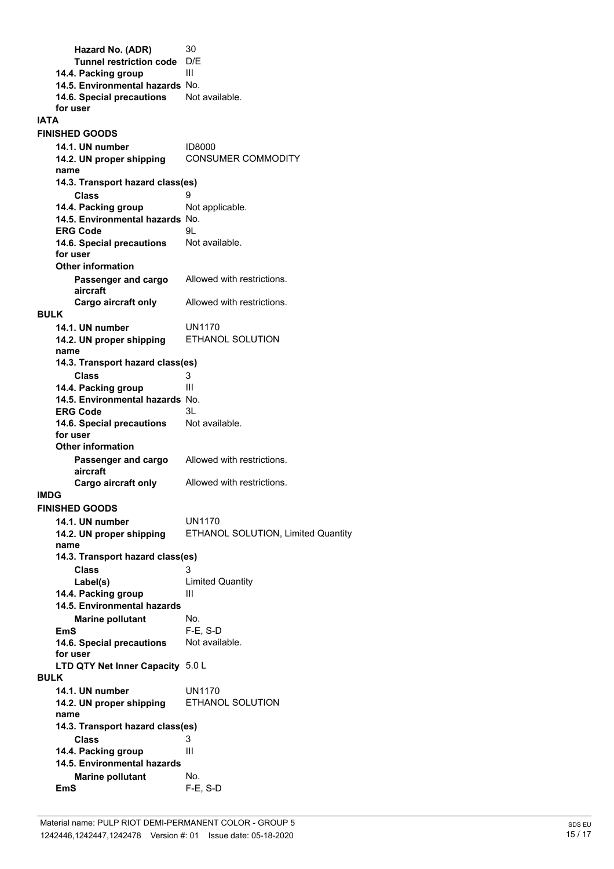**Hazard No. (ADR)** 30<br>Tunnel restriction code D/F **Tunnel restriction code 14.4. Packing group** III **14.5. Environmental hazards** No. 14.6. Special precautions Not available. **for user IATA 14.1. UN number** ID8000 **FINISHED GOODS 14.2. UN proper shipping** CONSUMER COMMODITY **name Class** 9 **14.3. Transport hazard class(es) 14.4. Packing group** Not applicable. **14.5. Environmental hazards** No. **ERG Code** 9L 14.6. Special precautions Not available. **for user Passenger and cargo** Allowed with restrictions. **aircraft Other information Cargo aircraft only** Allowed with restrictions. **14.1. UN number** UN1170 **BULK 14.2. UN proper shipping** ETHANOL SOLUTION **name Class** 3 **14.3. Transport hazard class(es) 14.4. Packing group III 14.5. Environmental hazards** No. **ERG Code** 3L<br>**14.6. Special precautions** Not available. **14.6. Special precautions for user Passenger and cargo** Allowed with restrictions. **aircraft Other information Cargo aircraft only** Allowed with restrictions. **IMDG 14.1. UN number** UN1170 **FINISHED GOODS 14.2. UN proper shipping** ETHANOL SOLUTION, Limited Quantity **name Class** 3 **14.3. Transport hazard class(es) Label(s)** Limited Quantity **14.4. Packing group III Marine pollutant** No. **14.5. Environmental hazards EmS** F-E, S-D 14.6. Special precautions Not available. **for user LTD QTY Net Inner Capacity** 5.0 L **14.1. UN number** UN1170 **BULK 14.2. UN proper shipping** ETHANOL SOLUTION **name Class** 3 **14.3. Transport hazard class(es) 14.4. Packing group** III **Marine pollutant** No. **14.5. Environmental hazards EmS** F-E, S-D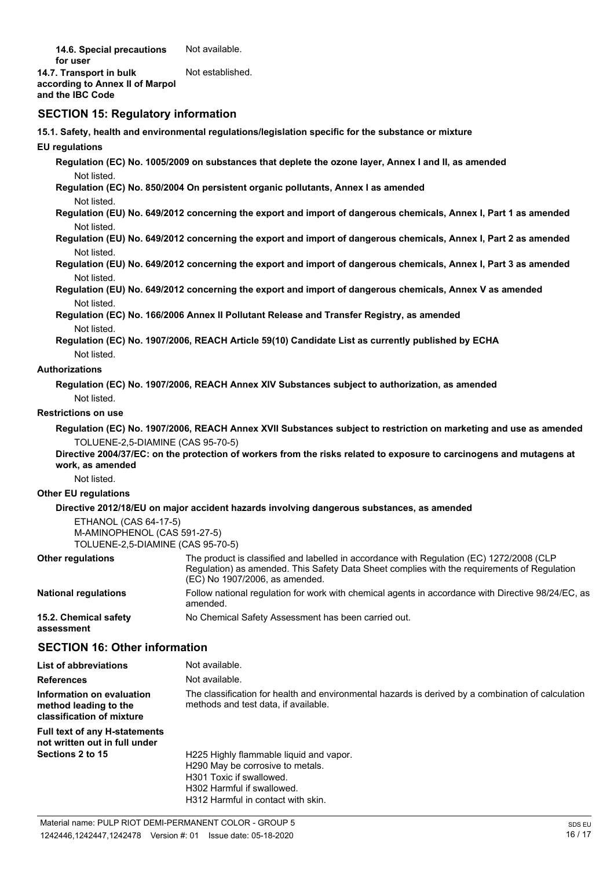14.6. Special precautions Not available. **for user 14.7. Transport in bulk** Not established. **according to Annex II of Marpol and the IBC Code**

### **SECTION 15: Regulatory information**

**15.1. Safety, health and environmental regulations/legislation specific for the substance or mixture**

**EU regulations**

**Regulation (EC) No. 1005/2009 on substances that deplete the ozone layer, Annex I and II, as amended** Not listed.

**Regulation (EC) No. 850/2004 On persistent organic pollutants, Annex I as amended** Not listed.

**Regulation (EU) No. 649/2012 concerning the export and import of dangerous chemicals, Annex I, Part 1 as amended** Not listed.

**Regulation (EU) No. 649/2012 concerning the export and import of dangerous chemicals, Annex I, Part 2 as amended** Not listed.

**Regulation (EU) No. 649/2012 concerning the export and import of dangerous chemicals, Annex I, Part 3 as amended** Not listed.

**Regulation (EU) No. 649/2012 concerning the export and import of dangerous chemicals, Annex V as amended** Not listed.

**Regulation (EC) No. 166/2006 Annex II Pollutant Release and Transfer Registry, as amended** Not listed.

**Regulation (EC) No. 1907/2006, REACH Article 59(10) Candidate List as currently published by ECHA** Not listed.

#### **Authorizations**

**Regulation (EC) No. 1907/2006, REACH Annex XIV Substances subject to authorization, as amended** Not listed.

#### **Restrictions on use**

**Regulation (EC) No. 1907/2006, REACH Annex XVII Substances subject to restriction on marketing and use as amended** TOLUENE-2,5-DIAMINE (CAS 95-70-5)

**Directive 2004/37/EC: on the protection of workers from the risks related to exposure to carcinogens and mutagens at work, as amended**

Not listed.

#### **Other EU regulations**

#### **Directive 2012/18/EU on major accident hazards involving dangerous substances, as amended**

ETHANOL (CAS 64-17-5) M-AMINOPHENOL (CAS 591-27-5) TOLUENE-2,5-DIAMINE (CAS 95-70-5)

| <b>Other regulations</b>            | The product is classified and labelled in accordance with Regulation (EC) 1272/2008 (CLP<br>Regulation) as amended. This Safety Data Sheet complies with the reguirements of Regulation<br>(EC) No 1907/2006, as amended. |
|-------------------------------------|---------------------------------------------------------------------------------------------------------------------------------------------------------------------------------------------------------------------------|
| <b>National regulations</b>         | Follow national regulation for work with chemical agents in accordance with Directive 98/24/EC, as<br>amended.                                                                                                            |
| 15.2. Chemical safety<br>assessment | No Chemical Safety Assessment has been carried out.                                                                                                                                                                       |

### **SECTION 16: Other information**

| <b>List of abbreviations</b>                                                    | Not available.                                                                                                                             |
|---------------------------------------------------------------------------------|--------------------------------------------------------------------------------------------------------------------------------------------|
| <b>References</b>                                                               | Not available.                                                                                                                             |
| Information on evaluation<br>method leading to the<br>classification of mixture | The classification for health and environmental hazards is derived by a combination of calculation<br>methods and test data, if available. |
| <b>Full text of any H-statements</b><br>not written out in full under           |                                                                                                                                            |
| Sections 2 to 15                                                                | H225 Highly flammable liquid and vapor.                                                                                                    |
|                                                                                 | H290 May be corrosive to metals.                                                                                                           |
|                                                                                 | H301 Toxic if swallowed.                                                                                                                   |
|                                                                                 | H302 Harmful if swallowed.                                                                                                                 |
|                                                                                 | H312 Harmful in contact with skin.                                                                                                         |